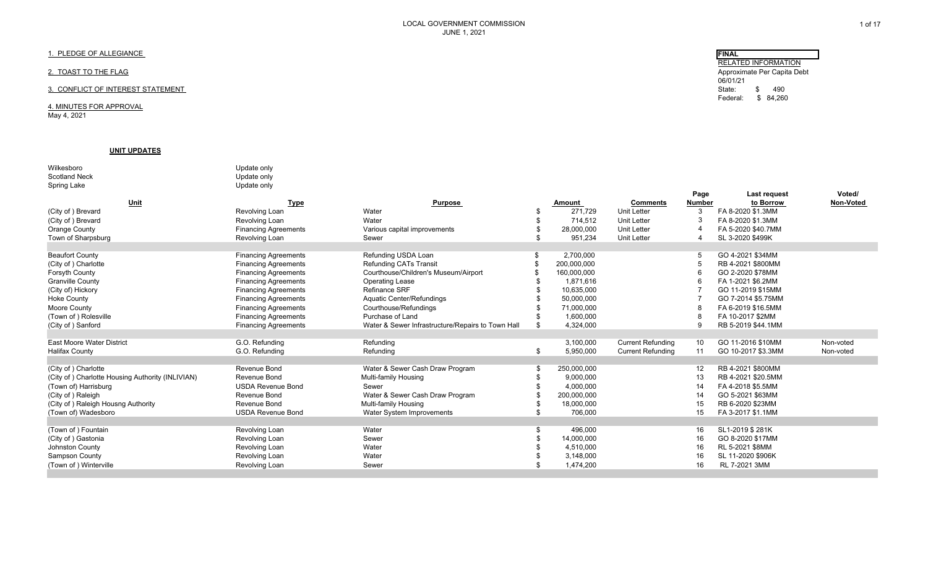# 1. PLEDGE OF ALLEGIANCE

# 2. TOAST TO THE FLAG

# 3. CONFLICT OF INTEREST STATEMENT

4. MINUTES FOR APPROVAL May 4, 2021

## **UNIT UPDATES**

| Wilkesboro                                       | Update only                 |                                                   |                   |                          |               |                    |           |
|--------------------------------------------------|-----------------------------|---------------------------------------------------|-------------------|--------------------------|---------------|--------------------|-----------|
| <b>Scotland Neck</b>                             | Update only                 |                                                   |                   |                          |               |                    |           |
| Spring Lake                                      | Update only                 |                                                   |                   |                          |               |                    |           |
|                                                  |                             |                                                   |                   |                          | Page          | Last request       | Voted/    |
| Unit                                             | <b>Type</b>                 | <b>Purpose</b>                                    | <b>Amount</b>     | <b>Comments</b>          | <b>Number</b> | to Borrow          | Non-Voted |
| (City of) Brevard                                | Revolving Loan              | Water                                             | 271,729           | <b>Unit Letter</b>       | 3             | FA 8-2020 \$1.3MM  |           |
| (City of) Brevard                                | Revolving Loan              | Water                                             | 714,512           | <b>Unit Letter</b>       | -3            | FA 8-2020 \$1.3MM  |           |
| Orange County                                    | <b>Financing Agreements</b> | Various capital improvements                      | 28,000,000        | <b>Unit Letter</b>       |               | FA 5-2020 \$40.7MM |           |
| Town of Sharpsburg                               | Revolving Loan              | Sewer                                             | \$<br>951.234     | <b>Unit Letter</b>       |               | SL 3-2020 \$499K   |           |
|                                                  |                             |                                                   |                   |                          |               |                    |           |
| <b>Beaufort County</b>                           | <b>Financing Agreements</b> | Refunding USDA Loan                               | 2,700,000         |                          | -5            | GO 4-2021 \$34MM   |           |
| (City of) Charlotte                              | <b>Financing Agreements</b> | <b>Refunding CATs Transit</b>                     | 200,000,000       |                          | $\sqrt{2}$    | RB 4-2021 \$800MM  |           |
| Forsyth County                                   | <b>Financing Agreements</b> | Courthouse/Children's Museum/Airport              | 160,000,000       |                          | -6            | GO 2-2020 \$78MM   |           |
| <b>Granville County</b>                          | <b>Financing Agreements</b> | <b>Operating Lease</b>                            | 1,871,616         |                          |               | FA 1-2021 \$6.2MM  |           |
| (City of) Hickory                                | <b>Financing Agreements</b> | Refinance SRF                                     | 10.635.000        |                          |               | GO 11-2019 \$15MM  |           |
| <b>Hoke County</b>                               | <b>Financing Agreements</b> | Aquatic Center/Refundings                         | 50.000.000        |                          |               | GO 7-2014 \$5.75MM |           |
| Moore County                                     | <b>Financing Agreements</b> | Courthouse/Refundings                             | 71,000,000        |                          |               | FA 6-2019 \$16.5MM |           |
| (Town of) Rolesville                             | <b>Financing Agreements</b> | Purchase of Land                                  | 1,600,000         |                          | -8            | FA 10-2017 \$2MM   |           |
| (City of) Sanford                                | <b>Financing Agreements</b> | Water & Sewer Infrastructure/Repairs to Town Hall | \$<br>4,324,000   |                          | -9            | RB 5-2019 \$44.1MM |           |
|                                                  |                             |                                                   |                   |                          |               |                    |           |
| <b>East Moore Water District</b>                 | G.O. Refunding              | Refunding                                         | 3,100,000         | <b>Current Refunding</b> | 10            | GO 11-2016 \$10MM  | Non-voted |
| <b>Halifax County</b>                            | G.O. Refunding              | Refunding                                         | \$<br>5,950,000   | <b>Current Refunding</b> | 11            | GO 10-2017 \$3.3MM | Non-voted |
|                                                  |                             |                                                   |                   |                          |               |                    |           |
| (City of) Charlotte                              | Revenue Bond                | Water & Sewer Cash Draw Program                   | \$<br>250,000,000 |                          | 12            | RB 4-2021 \$800MM  |           |
| (City of) Charlotte Housing Authority (INLIVIAN) | Revenue Bond                | Multi-family Housing                              | 9,000,000         |                          | 13            | RB 4-2021 \$20.5MM |           |
| (Town of) Harrisburg                             | <b>USDA Revenue Bond</b>    | Sewer                                             | 4,000,000         |                          | 14            | FA 4-2018 \$5.5MM  |           |
| (City of) Raleigh                                | Revenue Bond                | Water & Sewer Cash Draw Program                   | 200,000,000       |                          | 14            | GO 5-2021 \$63MM   |           |
| (City of) Raleigh Housng Authority               | Revenue Bond                | Multi-family Housing                              | 18,000,000        |                          | 15            | RB 6-2020 \$23MM   |           |
| (Town of) Wadesboro                              | <b>USDA Revenue Bond</b>    | Water System Improvements                         | \$<br>706,000     |                          | 15            | FA 3-2017 \$1.1MM  |           |
|                                                  |                             |                                                   |                   |                          |               |                    |           |
| (Town of) Fountain                               | Revolving Loan              | Water                                             | \$<br>496,000     |                          | 16            | SL1-2019 \$281K    |           |
| (City of) Gastonia                               | Revolving Loan              | Sewer                                             | 14,000,000        |                          | 16            | GO 8-2020 \$17MM   |           |
| Johnston County                                  | Revolving Loan              | Water                                             | 4,510,000         |                          | 16            | RL 5-2021 \$8MM    |           |
| Sampson County                                   | Revolving Loan              | Water                                             | 3,148,000         |                          | 16            | SL 11-2020 \$906K  |           |
| (Town of) Winterville                            | Revolving Loan              | Sewer                                             | 1,474,200         |                          | 16            | RL 7-2021 3MM      |           |
|                                                  |                             |                                                   |                   |                          |               |                    |           |

 RELATED INFORMATION Approximate Per Capita Debt 06/01/21State: \$ 490 Federal: \$ 84,260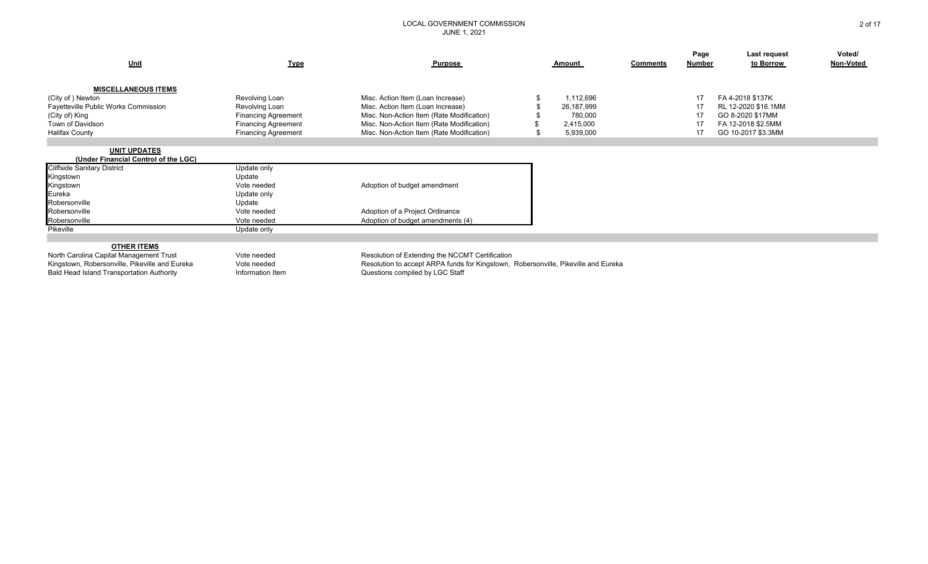| <u>Unit</u>                                                 | <b>Type</b>                | Purpose                                                                            | Amount     | <b>Comments</b> | Page<br>Number | Last request<br>to Borrow | Voted/<br>Non-Voted |
|-------------------------------------------------------------|----------------------------|------------------------------------------------------------------------------------|------------|-----------------|----------------|---------------------------|---------------------|
| <b>MISCELLANEOUS ITEMS</b><br>(City of) Newton              | Revolving Loan             | Misc. Action Item (Loan Increase)                                                  | 1,112,696  |                 | 17             | FA 4-2018 \$137K          |                     |
| Fayetteville Public Works Commission                        | Revolving Loan             | Misc. Action Item (Loan Increase)                                                  | 26,187,999 |                 | -17            | RL 12-2020 \$16.1MM       |                     |
| (City of) King                                              | <b>Financing Agreement</b> | Misc. Non-Action Item (Rate Modification)                                          | 780,000    |                 |                | GO 8-2020 \$17MM          |                     |
| Town of Davidson                                            | <b>Financing Agreement</b> | Misc. Non-Action Item (Rate Modification)                                          | 2,415,000  |                 | -17            | FA 12-2018 \$2.5MM        |                     |
| <b>Halifax County</b>                                       | <b>Financing Agreement</b> | Misc. Non-Action Item (Rate Modification)                                          | 5,939,000  |                 | 17             | GO 10-2017 \$3.3MM        |                     |
| <b>UNIT UPDATES</b><br>(Under Financial Control of the LGC) |                            |                                                                                    |            |                 |                |                           |                     |
| <b>Cliffside Sanitary District</b>                          | Update only                |                                                                                    |            |                 |                |                           |                     |
| Kingstown                                                   | Update                     |                                                                                    |            |                 |                |                           |                     |
| Kingstown                                                   | Vote needed                | Adoption of budget amendment                                                       |            |                 |                |                           |                     |
| Eureka                                                      | Update only                |                                                                                    |            |                 |                |                           |                     |
| Robersonville<br>Robersonville                              | Update<br>Vote needed      |                                                                                    |            |                 |                |                           |                     |
| Robersonville                                               | Vote needed                | Adoption of a Project Ordinance<br>Adoption of budget amendments (4)               |            |                 |                |                           |                     |
| Pikeville                                                   | Update only                |                                                                                    |            |                 |                |                           |                     |
|                                                             |                            |                                                                                    |            |                 |                |                           |                     |
| <b>OTHER ITEMS</b>                                          |                            |                                                                                    |            |                 |                |                           |                     |
| North Carolina Capital Management Trust                     | Vote needed                | Resolution of Extending the NCCMT Certification                                    |            |                 |                |                           |                     |
| Kingstown, Robersonville, Pikeville and Eureka              | Vote needed                | Resolution to accept ARPA funds for Kingstown, Robersonville, Pikeville and Eureka |            |                 |                |                           |                     |
| <b>Bald Head Island Transportation Authority</b>            | Information Item           | Questions compiled by LGC Staff                                                    |            |                 |                |                           |                     |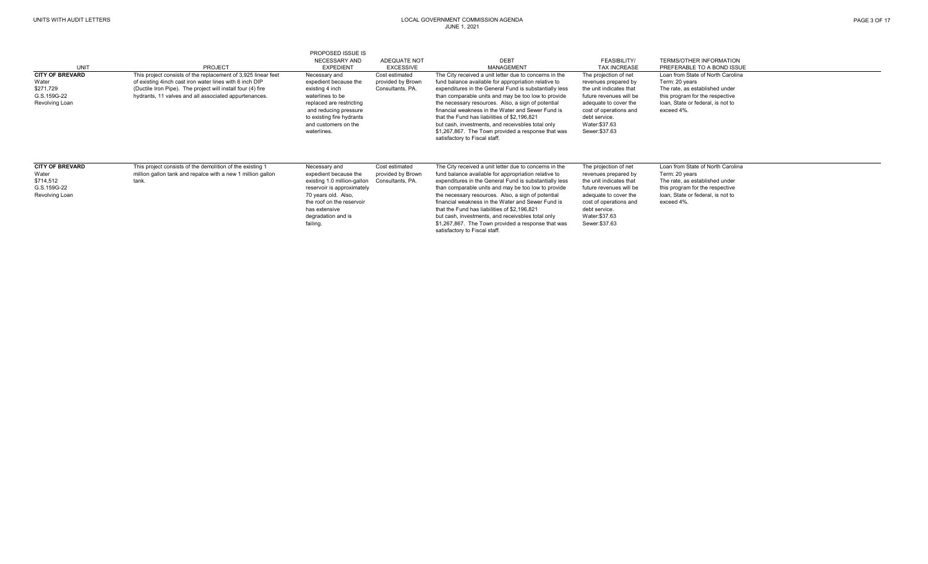| UNIT                                                                          | <b>PROJECT</b>                                                                                                                                                                                                                                   | <b>PROPOSED ISSUE IS</b><br><b>NECESSARY AND</b><br><b>EXPEDIENT</b>                                                                                                                                       | ADEQUATE NOT                                            | <b>DEBT</b><br>MANAGEMENT                                                                                                                                                                                                                                                                                                                                                                                                                                                                                                              | FEASIBILITY/<br><b>TAX INCREASE</b>                                                                                                                                                                        | <b>TERMS/OTHER INFORMATION</b><br>PREFERABLE TO A BOND ISSUE                                                                                                                |
|-------------------------------------------------------------------------------|--------------------------------------------------------------------------------------------------------------------------------------------------------------------------------------------------------------------------------------------------|------------------------------------------------------------------------------------------------------------------------------------------------------------------------------------------------------------|---------------------------------------------------------|----------------------------------------------------------------------------------------------------------------------------------------------------------------------------------------------------------------------------------------------------------------------------------------------------------------------------------------------------------------------------------------------------------------------------------------------------------------------------------------------------------------------------------------|------------------------------------------------------------------------------------------------------------------------------------------------------------------------------------------------------------|-----------------------------------------------------------------------------------------------------------------------------------------------------------------------------|
|                                                                               |                                                                                                                                                                                                                                                  |                                                                                                                                                                                                            | <b>EXCESSIVE</b>                                        |                                                                                                                                                                                                                                                                                                                                                                                                                                                                                                                                        |                                                                                                                                                                                                            |                                                                                                                                                                             |
| <b>CITY OF BREVARD</b><br>Water<br>\$271,729<br>G.S.159G-22<br>Revolving Loan | This project consists of the replacement of 3,925 linear feet<br>of existing 4inch cast iron water lines with 6 inch DIP<br>(Ductile Iron Pipe). The project will install four (4) fire<br>hydrants, 11 valves and all associated appurtenances. | Necessary and<br>expedient because the<br>existing 4 inch<br>waterlines to be<br>replaced are restricting<br>and reducing pressure<br>to existing fire hydrants<br>and customers on the<br>waterlines.     | Cost estimated<br>provided by Brown<br>Consultants, PA. | The City received a unit letter due to concerns in the<br>fund balance available for appropriation relative to<br>expenditures in the General Fund is substantially less<br>than comparable units and may be too low to provide<br>the necessary resources. Also, a sign of potential<br>financial weakness in the Water and Sewer Fund is<br>that the Fund has liabilities of \$2,196,821<br>but cash, investments, and receivsbles total only<br>\$1,267,867. The Town provided a response that was<br>satisfactory to Fiscal staff. | The projection of net<br>revenues prepared by<br>the unit indicates that<br>future revenues will be<br>adequate to cover the<br>cost of operations and<br>debt service.<br>Water:\$37.63<br>Sewer: \$37.63 | Loan from State of North Carolina<br>Term: 20 years<br>The rate, as established under<br>this program for the respective<br>loan, State or federal, is not to<br>exceed 4%. |
| <b>CITY OF BREVARD</b><br>Water<br>\$714,512<br>G.S.159G-22<br>Revolving Loan | This project consists of the demolition of the existing 1<br>million gallon tank and repalce with a new 1 million gallon<br>tank.                                                                                                                | Necessary and<br>expedient because the<br>existing 1.0 million-gallon<br>reservoir is approximately<br>70 years old. Also,<br>the roof on the reservoir<br>has extensive<br>degradation and is<br>failing. | Cost estimated<br>provided by Brown<br>Consultants, PA. | The City received a unit letter due to concerns in the<br>fund balance available for appropriation relative to<br>expenditures in the General Fund is substantially less<br>than comparable units and may be too low to provide<br>the necessary resources. Also, a sign of potential<br>financial weakness in the Water and Sewer Fund is<br>that the Fund has liabilities of \$2,196,821<br>but cash, investments, and receivsbles total only<br>\$1,267,867. The Town provided a response that was<br>satisfactory to Fiscal staff. | The projection of net<br>revenues prepared by<br>the unit indicates that<br>future revenues will be<br>adequate to cover the<br>cost of operations and<br>debt service.<br>Water:\$37.63<br>Sewer:\$37.63  | Loan from State of North Carolina<br>Term: 20 years<br>The rate, as established under<br>this program for the respective<br>loan. State or federal, is not to<br>exceed 4%. |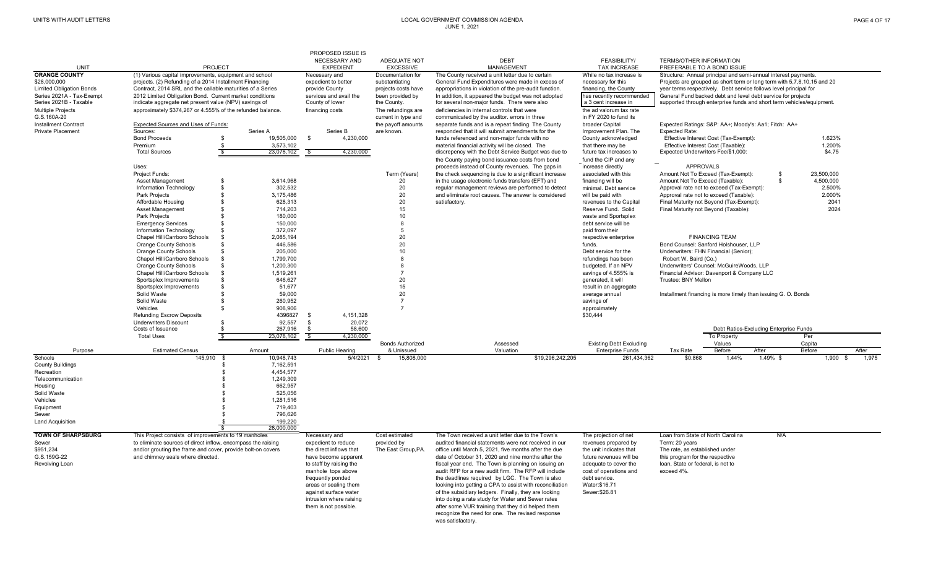|                                                 |                                                                                                                       |                |                      |                                       | PROPOSED ISSUE IS                 |                                       |                                                                                                            |                  |                                               |                                                                                                                                              |                       |                                        |              |            |         |                |
|-------------------------------------------------|-----------------------------------------------------------------------------------------------------------------------|----------------|----------------------|---------------------------------------|-----------------------------------|---------------------------------------|------------------------------------------------------------------------------------------------------------|------------------|-----------------------------------------------|----------------------------------------------------------------------------------------------------------------------------------------------|-----------------------|----------------------------------------|--------------|------------|---------|----------------|
|                                                 |                                                                                                                       |                |                      |                                       | <b>NECESSARY AND</b>              | ADEQUATE NOT                          | <b>DEBT</b>                                                                                                |                  | FEASIBILITY/                                  | <b>TERMS/OTHER INFORMATION</b>                                                                                                               |                       |                                        |              |            |         |                |
| <b>UNIT</b>                                     | <b>PROJECT</b>                                                                                                        |                |                      |                                       | <b>EXPEDIENT</b>                  | <b>EXCESSIVE</b>                      | <b>MANAGEMENT</b>                                                                                          |                  | <b>TAX INCREASE</b>                           | PREFERABLE TO A BOND ISSUE                                                                                                                   |                       |                                        |              |            |         |                |
| <b>ORANGE COUNTY</b>                            | (1) Various capital improvements, equipment and school                                                                |                |                      | Necessary and                         |                                   | Documentation for                     | The County received a unit letter due to certain                                                           |                  | While no tax increase is                      | Structure: Annual principal and semi-annual interest payments.                                                                               |                       |                                        |              |            |         |                |
| \$28,000,000<br><b>Limited Obligation Bonds</b> | projects. (2) Refunding of a 2014 Installment Financing<br>Contract, 2014 SRL and the callable maturities of a Series |                |                      | expedient to better<br>provide County |                                   | substantiating<br>projects costs have | General Fund Expenditures were made in excess of<br>appropriations in violation of the pre-audit function. |                  | necessary for this<br>financing, the County   | Projects are grouped as short term or long term with 5,7,8,10,15 and 20<br>year terms respectively. Debt service follows level principal for |                       |                                        |              |            |         |                |
| Series 2021A - Tax-Exempt                       | 2012 Limited Obligation Bond. Current market conditions                                                               |                |                      | services and avail the                |                                   | been provided by                      | In addition, it appeared the budget was not adopted                                                        |                  | has recently recommended                      | General Fund backed debt and level debt service for projects                                                                                 |                       |                                        |              |            |         |                |
| Series 2021B - Taxable                          | indicate aggregate net present value (NPV) savings of                                                                 |                |                      | County of lower                       |                                   | the County.                           | for several non-major funds. There were also                                                               |                  | a 3 cent increase in                          | supported through enterprise funds and short term vehicles/equipment.                                                                        |                       |                                        |              |            |         |                |
| <b>Multiple Projects</b>                        | approximately \$374,267 or 4.555% of the refunded balance.                                                            |                |                      | financing costs                       |                                   | The refundings are                    | deficiencies in internal controls that were                                                                |                  | the ad valorum tax rate                       |                                                                                                                                              |                       |                                        |              |            |         |                |
| G.S.160A-20                                     |                                                                                                                       |                |                      |                                       |                                   | current in type and                   | communicated by the auditor, errors in three                                                               |                  | in FY 2020 to fund its                        |                                                                                                                                              |                       |                                        |              |            |         |                |
| <b>Installment Contract</b>                     | Expected Sources and Uses of Funds:                                                                                   |                |                      |                                       |                                   | the payoff amounts                    | separate funds and is a repeat finding. The County                                                         |                  | broader Capital                               | Expected Ratings: S&P: AA+; Moody's: Aa1; Fitch: AA+                                                                                         |                       |                                        |              |            |         |                |
| Private Placement                               | Sources:                                                                                                              |                | Series A             |                                       | Series B                          | are known.                            | responded that it will submit amendments for the                                                           |                  | Improvement Plan. The                         | <b>Expected Rate:</b>                                                                                                                        |                       |                                        |              |            |         |                |
|                                                 | <b>Bond Proceeds</b>                                                                                                  | \$             | 19,505,000           | $\mathbf{\hat{s}}$                    | 4,230,000                         |                                       | funds referenced and non-major funds with no                                                               |                  | County acknowledged                           | Effective Interest Cost (Tax-Exempt):                                                                                                        |                       |                                        |              | 1.623%     |         |                |
|                                                 | Premium                                                                                                               |                | 3,573,102            |                                       |                                   |                                       | material financial activity will be closed. The                                                            |                  | that there may be                             | Effective Interest Cost (Taxable):                                                                                                           |                       |                                        |              | 1.200%     |         |                |
|                                                 | <b>Total Sources</b>                                                                                                  | $\mathbf{s}$   | 23,078,102           | $\mathbf{R}$                          | 4.230.000                         |                                       | discrepency with the Debt Service Budget was due to                                                        |                  | future tax increases to                       | Expected Underwriters Fee/\$1,000:                                                                                                           |                       |                                        |              | \$4.75     |         |                |
|                                                 |                                                                                                                       |                |                      |                                       |                                   |                                       | the County paying bond issuance costs from bond                                                            |                  | fund the CIP and any                          |                                                                                                                                              |                       |                                        |              |            |         |                |
|                                                 | Uses:                                                                                                                 |                |                      |                                       |                                   |                                       | proceeds instead of County revenues. The gaps in                                                           |                  | increase directly                             | <b>APPROVALS</b>                                                                                                                             |                       |                                        | \$           | 23,500,000 |         |                |
|                                                 | Project Funds:<br>Asset Management                                                                                    | \$             | 3,614,968            |                                       |                                   | Term (Years)<br>20                    | the check sequencing is due to a significant increase<br>in the usage electronic funds transfers (EFT) and |                  | associated with this<br>financing will be     | Amount Not To Exceed (Tax-Exempt):<br>Amount Not To Exceed (Taxable):                                                                        |                       |                                        | $\mathbf{s}$ | 4,500,000  |         |                |
|                                                 | Information Technology                                                                                                | \$             | 302,532              |                                       |                                   | 20                                    | regular management reviews are performed to detect                                                         |                  | minimal. Debt service                         | Approval rate not to exceed (Tax-Exempt):                                                                                                    |                       |                                        |              | 2.500%     |         |                |
|                                                 | Park Projects                                                                                                         | \$             | 3,175,486            |                                       |                                   | 20                                    | and eliminate root causes. The answer is considered                                                        |                  | will be paid with                             | Approval rate not to exceed (Taxable):                                                                                                       |                       |                                        |              | 2.000%     |         |                |
|                                                 | Affordable Housing                                                                                                    | \$             | 628,313              |                                       |                                   | 20                                    | satisfactory.                                                                                              |                  | revenues to the Capital                       | Final Maturity not Beyond (Tax-Exempt):                                                                                                      |                       |                                        |              |            | 2041    |                |
|                                                 | Asset Management                                                                                                      | <sup>\$</sup>  | 714,203              |                                       |                                   | 15                                    |                                                                                                            |                  | Reserve Fund. Solid                           | Final Maturity not Beyond (Taxable):                                                                                                         |                       |                                        |              |            | 2024    |                |
|                                                 | Park Projects                                                                                                         | <sup>\$</sup>  | 180,000              |                                       |                                   | 10                                    |                                                                                                            |                  | waste and Sportsplex                          |                                                                                                                                              |                       |                                        |              |            |         |                |
|                                                 | <b>Emergency Services</b>                                                                                             | \$             | 150,000              |                                       |                                   | 8                                     |                                                                                                            |                  | debt service will be                          |                                                                                                                                              |                       |                                        |              |            |         |                |
|                                                 | Information Technology                                                                                                |                | 372,097              |                                       |                                   | 5                                     |                                                                                                            |                  | paid from their                               |                                                                                                                                              |                       |                                        |              |            |         |                |
|                                                 | Chapel Hill/Carrboro Schools                                                                                          | - \$           | 2,085,194            |                                       |                                   | 20                                    |                                                                                                            |                  | respective enterprise                         |                                                                                                                                              | <b>FINANCING TEAM</b> |                                        |              |            |         |                |
|                                                 | <b>Orange County Schools</b>                                                                                          |                | 446,586              |                                       |                                   | 20                                    |                                                                                                            |                  | funds.                                        | Bond Counsel: Sanford Holshouser, LLP                                                                                                        |                       |                                        |              |            |         |                |
|                                                 | <b>Orange County Schools</b>                                                                                          |                | 205,000              |                                       |                                   | 10                                    |                                                                                                            |                  | Debt service for the                          | Underwriters: FHN Financial (Senior);                                                                                                        |                       |                                        |              |            |         |                |
|                                                 | Chapel Hill/Carrboro Schools                                                                                          | - \$           | 1,799,700            |                                       |                                   | 8                                     |                                                                                                            |                  | refundings has been                           | Robert W. Baird (Co.)                                                                                                                        |                       |                                        |              |            |         |                |
|                                                 | Orange County Schools<br>Chapel Hill/Carrboro Schools                                                                 | - \$           | 1,200,300            |                                       |                                   | 8<br>$\overline{7}$                   |                                                                                                            |                  | budgeted. If an NPV                           | Underwriters' Counsel: McGuireWoods, LLP                                                                                                     |                       |                                        |              |            |         |                |
|                                                 | Sportsplex Improvements                                                                                               |                | 1,519,261<br>646,627 |                                       |                                   | 20                                    |                                                                                                            |                  | savings of 4.555% is<br>generated, it will    | Financial Advisor: Davenport & Company LLC<br>Trustee: BNY Mellon                                                                            |                       |                                        |              |            |         |                |
|                                                 | Sportsplex Improvements                                                                                               |                | 51,677               |                                       |                                   | 15                                    |                                                                                                            |                  | result in an aggregate                        |                                                                                                                                              |                       |                                        |              |            |         |                |
|                                                 | Solid Waste                                                                                                           |                | 59,000               |                                       |                                   | 20                                    |                                                                                                            |                  | average annual                                | Installment financing is more timely than issuing G. O. Bonds                                                                                |                       |                                        |              |            |         |                |
|                                                 | Solid Waste                                                                                                           |                | 260.952              |                                       |                                   | $\overline{7}$                        |                                                                                                            |                  | savings of                                    |                                                                                                                                              |                       |                                        |              |            |         |                |
|                                                 | Vehicles                                                                                                              | - \$           | 908,906              |                                       |                                   | $\overline{7}$                        |                                                                                                            |                  | approximately                                 |                                                                                                                                              |                       |                                        |              |            |         |                |
|                                                 | <b>Refunding Escrow Deposits</b>                                                                                      |                | 4396827              | - \$                                  | 4.151.328                         |                                       |                                                                                                            |                  | \$30.444                                      |                                                                                                                                              |                       |                                        |              |            |         |                |
|                                                 | <b>Underwriters Discount</b>                                                                                          |                | 92,557               | \$                                    | 20,072                            |                                       |                                                                                                            |                  |                                               |                                                                                                                                              |                       |                                        |              |            |         |                |
|                                                 | Costs of Issuance                                                                                                     |                | 267,916              | \$                                    | 58,600                            |                                       |                                                                                                            |                  |                                               |                                                                                                                                              |                       | Debt Ratios-Excluding Enterprise Funds |              |            |         |                |
|                                                 | <b>Total Uses</b>                                                                                                     | s,             | 23,078,102           | s,                                    | 4,230,000                         |                                       |                                                                                                            |                  |                                               |                                                                                                                                              | To Property           |                                        |              | Per        |         |                |
|                                                 |                                                                                                                       |                |                      |                                       |                                   | <b>Bonds Authorized</b>               | Assessed                                                                                                   |                  | <b>Existing Debt Excluding</b>                |                                                                                                                                              | Values                |                                        |              | Capita     |         |                |
| Purpose<br>Schools                              | <b>Estimated Census</b><br>$145,910$ \$                                                                               |                | Amount<br>10.948.743 |                                       | <b>Public Hearing</b><br>5/4/2021 | & Unissued<br>15,808,000<br><b>S</b>  | Valuation                                                                                                  | \$19,296,242,205 | <b>Enterprise Funds</b><br>261,434,362        | Tax Rate<br>\$0.868                                                                                                                          | Before<br>1.44%       | After<br>$1.49\%$ \$                   |              | Before     | 1.900 S | After<br>1.975 |
| <b>County Buildings</b>                         |                                                                                                                       | \$             | 7,162,591            |                                       |                                   |                                       |                                                                                                            |                  |                                               |                                                                                                                                              |                       |                                        |              |            |         |                |
| Recreation                                      |                                                                                                                       | \$             | 4,454,577            |                                       |                                   |                                       |                                                                                                            |                  |                                               |                                                                                                                                              |                       |                                        |              |            |         |                |
| Telecommunication                               |                                                                                                                       | \$             | 1,249,309            |                                       |                                   |                                       |                                                                                                            |                  |                                               |                                                                                                                                              |                       |                                        |              |            |         |                |
| Housing                                         |                                                                                                                       | \$             | 662,957              |                                       |                                   |                                       |                                                                                                            |                  |                                               |                                                                                                                                              |                       |                                        |              |            |         |                |
| Solid Waste                                     |                                                                                                                       | \$             | 525,056              |                                       |                                   |                                       |                                                                                                            |                  |                                               |                                                                                                                                              |                       |                                        |              |            |         |                |
| Vehicles                                        |                                                                                                                       | \$             | 1,281,516            |                                       |                                   |                                       |                                                                                                            |                  |                                               |                                                                                                                                              |                       |                                        |              |            |         |                |
| Equipment                                       |                                                                                                                       | \$             | 719,403              |                                       |                                   |                                       |                                                                                                            |                  |                                               |                                                                                                                                              |                       |                                        |              |            |         |                |
| Sewer                                           |                                                                                                                       | \$             | 796,626              |                                       |                                   |                                       |                                                                                                            |                  |                                               |                                                                                                                                              |                       |                                        |              |            |         |                |
| <b>Land Acquisition</b>                         |                                                                                                                       | $\mathfrak{s}$ | 199,220              |                                       |                                   |                                       |                                                                                                            |                  |                                               |                                                                                                                                              |                       |                                        |              |            |         |                |
| <b>TOWN OF SHARPSBURG</b>                       | This Project consists of improvements to 19 manholes                                                                  |                | 28.000.000           |                                       |                                   | Cost estimated                        | The Town received a unit letter due to the Town's                                                          |                  |                                               | Loan from State of North Carolina                                                                                                            |                       |                                        | N/A          |            |         |                |
| Sewer                                           | to eliminate sources of direct inflow, encompass the raising                                                          |                |                      | Necessary and<br>expedient to reduce  |                                   | provided by                           | audited financial statements were not received in our                                                      |                  | The projection of net<br>revenues prepared by | Term: 20 years                                                                                                                               |                       |                                        |              |            |         |                |
| \$951,234                                       | and/or grouting the frame and cover, provide bolt-on covers                                                           |                |                      | the direct inflows that               |                                   | The East Group, PA.                   | office until March 5, 2021, five months after the due                                                      |                  | the unit indicates that                       | The rate, as established under                                                                                                               |                       |                                        |              |            |         |                |
| G.S.159G-22                                     | and chimney seals where directed.                                                                                     |                |                      | have become apparent                  |                                   |                                       | date of October 31, 2020 and nine months after the                                                         |                  | future revenues will be                       | this program for the respective                                                                                                              |                       |                                        |              |            |         |                |
| Revolving Loan                                  |                                                                                                                       |                |                      | to staff by raising the               |                                   |                                       | fiscal year end. The Town is planning on issuing an                                                        |                  | adequate to cover the                         | loan, State or federal, is not to                                                                                                            |                       |                                        |              |            |         |                |
|                                                 |                                                                                                                       |                |                      | manhole tops above                    |                                   |                                       | audit RFP for a new audit firm. The RFP will include                                                       |                  | cost of operations and                        | exceed 4%.                                                                                                                                   |                       |                                        |              |            |         |                |
|                                                 |                                                                                                                       |                |                      | frequently ponded                     |                                   |                                       | the deadlines required by LGC. The Town is also                                                            |                  | debt service.                                 |                                                                                                                                              |                       |                                        |              |            |         |                |
|                                                 |                                                                                                                       |                |                      | areas or sealing them                 |                                   |                                       | looking into getting a CPA to assist with reconciliation                                                   |                  | Water:\$16.71                                 |                                                                                                                                              |                       |                                        |              |            |         |                |
|                                                 |                                                                                                                       |                |                      | against surface water                 |                                   |                                       | of the subsidiary ledgers. Finally, they are looking                                                       |                  | Sewer: \$26.81                                |                                                                                                                                              |                       |                                        |              |            |         |                |
|                                                 |                                                                                                                       |                |                      | intrusion where raising               |                                   |                                       | into doing a rate study for Water and Sewer rates                                                          |                  |                                               |                                                                                                                                              |                       |                                        |              |            |         |                |
|                                                 |                                                                                                                       |                |                      | them is not possible.                 |                                   |                                       | after some VUR training that they did helped them                                                          |                  |                                               |                                                                                                                                              |                       |                                        |              |            |         |                |
|                                                 |                                                                                                                       |                |                      |                                       |                                   |                                       | recognize the need for one. The revised response                                                           |                  |                                               |                                                                                                                                              |                       |                                        |              |            |         |                |
|                                                 |                                                                                                                       |                |                      |                                       |                                   |                                       | was satisfactory.                                                                                          |                  |                                               |                                                                                                                                              |                       |                                        |              |            |         |                |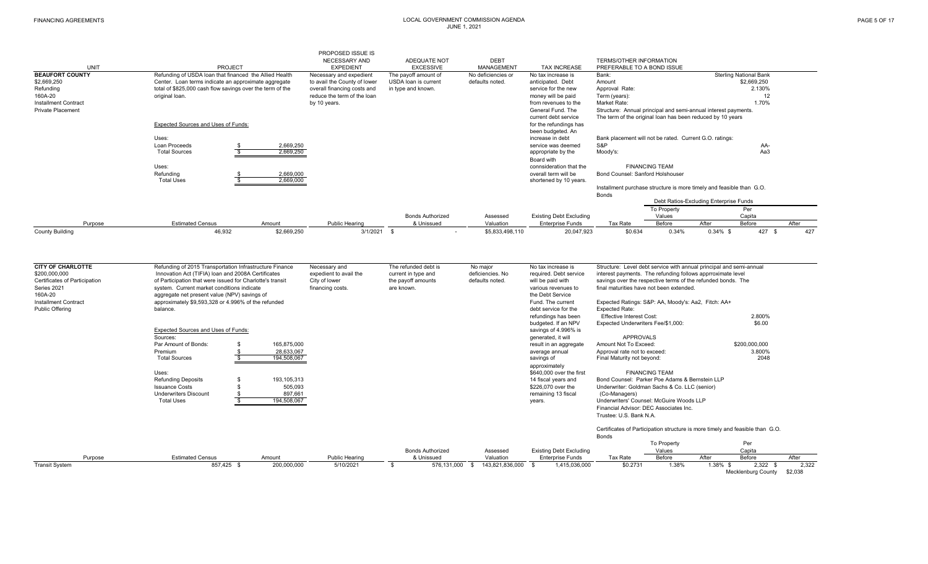|                               |                                                           | PROPOSED ISSUE IS<br><b>NECESSARY AND</b> | ADEQUATE NOT            |                                  |                                                | <b>TERMS/OTHER INFORMATION</b>                                       |                       |                                        |                               |       |
|-------------------------------|-----------------------------------------------------------|-------------------------------------------|-------------------------|----------------------------------|------------------------------------------------|----------------------------------------------------------------------|-----------------------|----------------------------------------|-------------------------------|-------|
| <b>UNIT</b>                   | PROJECT                                                   | <b>EXPEDIENT</b>                          | <b>EXCESSIVE</b>        | <b>DEBT</b><br><b>MANAGEMENT</b> | <b>TAX INCREASE</b>                            | PREFERABLE TO A BOND ISSUE                                           |                       |                                        |                               |       |
| <b>BEAUFORT COUNTY</b>        | Refunding of USDA loan that financed the Allied Health    | Necessary and expedient                   | The payoff amount of    | No deficiencies or               | No tax increase is                             | Bank:                                                                |                       |                                        | <b>Sterling National Bank</b> |       |
| \$2,669,250                   | Center. Loan terms indicate an approximate aggregate      | to avail the County of lower              | USDA loan is current    | defaults noted.                  | anticipated, Debt                              | Amount                                                               |                       |                                        | \$2,669,250                   |       |
| Refunding                     | total of \$825,000 cash flow savings over the term of the | overall financing costs and               | in type and known.      |                                  | service for the new                            | Approval Rate:                                                       |                       |                                        | 2.130%                        |       |
| 160A-20                       | original loan.                                            | reduce the term of the loan               |                         |                                  | money will be paid                             | Term (years):                                                        |                       |                                        | 12                            |       |
| <b>Installment Contract</b>   |                                                           | by 10 years.                              |                         |                                  | from revenues to the                           | Market Rate:                                                         |                       |                                        | 1.70%                         |       |
| <b>Private Placement</b>      |                                                           |                                           |                         |                                  | General Fund. The                              | Structure: Annual principal and semi-annual interest payments.       |                       |                                        |                               |       |
|                               |                                                           |                                           |                         |                                  | current debt service                           | The term of the original loan has been reduced by 10 years           |                       |                                        |                               |       |
|                               | Expected Sources and Uses of Funds:                       |                                           |                         |                                  | for the refundings has<br>been budgeted. An    |                                                                      |                       |                                        |                               |       |
|                               | Uses:                                                     |                                           |                         |                                  | increase in debt                               | Bank placement will not be rated. Current G.O. ratings:              |                       |                                        |                               |       |
|                               | Loan Proceeds                                             | 2,669,250                                 |                         |                                  | service was deemed                             | S&P                                                                  |                       |                                        | AA-                           |       |
|                               | <b>Total Sources</b>                                      | 2,669,250                                 |                         |                                  | appropriate by the                             | Moody's:                                                             |                       |                                        | Aa3                           |       |
|                               |                                                           |                                           |                         |                                  | Board with                                     |                                                                      |                       |                                        |                               |       |
|                               | Uses:                                                     |                                           |                         |                                  | connsideration that the                        |                                                                      | <b>FINANCING TEAM</b> |                                        |                               |       |
|                               | Refunding<br><b>Total Uses</b>                            | 2,669,000<br>2,669,000                    |                         |                                  | overall term will be<br>shortened by 10 years. | Bond Counsel: Sanford Holshouser                                     |                       |                                        |                               |       |
|                               |                                                           |                                           |                         |                                  |                                                | Installment purchase structure is more timely and feasible than G.O. |                       |                                        |                               |       |
|                               |                                                           |                                           |                         |                                  |                                                | Bonds                                                                |                       |                                        |                               |       |
|                               |                                                           |                                           |                         |                                  |                                                |                                                                      |                       | Debt Ratios-Excluding Enterprise Funds |                               |       |
|                               |                                                           |                                           |                         |                                  |                                                |                                                                      | To Property           |                                        | Per                           |       |
|                               |                                                           |                                           | <b>Bonds Authorized</b> | Assessed<br>Valuation            | Existing Debt Excluding                        |                                                                      | Values                | After                                  | Capita                        |       |
| Purpose                       | <b>Estimated Census</b><br>Amount                         | Public Hearing                            | & Unissued              |                                  | <b>Enterprise Funds</b>                        | Tax Rate                                                             | Before                |                                        | Before                        | After |
| <b>County Building</b>        | 46,932                                                    | \$2,669,250<br>$3/1/2021$ \$              |                         | \$5,833,498,110<br>$\sim$        | 20,047,923                                     | \$0.634                                                              | 0.34%                 | $0.34\%$ \$                            | 427 \$                        | 427   |
|                               |                                                           |                                           |                         |                                  |                                                |                                                                      |                       |                                        |                               |       |
| <b>CITY OF CHARLOTTE</b>      | Refunding of 2015 Transportation Infrastructure Finance   | Necessary and                             | The refunded debt is    | No major                         | No tax increase is                             | Structure: Level debt service with annual principal and semi-annual  |                       |                                        |                               |       |
| \$200,000,000                 | Innovation Act (TIFIA) loan and 2008A Certificates        | expedient to avail the                    | current in type and     | deficiencies. No                 | required. Debt service                         | interest payments. The refunding follows apprroximate level          |                       |                                        |                               |       |
| Certificates of Participation | of Participation that were issued for Charlotte's transit | City of lower                             | the payoff amounts      | defaults noted.                  | will be paid with                              | savings over the respective terms of the refunded bonds. The         |                       |                                        |                               |       |
| Series 2021                   | system. Current market conditions indicate                | financing costs.                          | are known.              |                                  | various revenues to                            | final maturities have not been extended                              |                       |                                        |                               |       |
| 160A-20                       | aggregate net present value (NPV) savings of              |                                           |                         |                                  | the Debt Service                               |                                                                      |                       |                                        |                               |       |
| <b>Installment Contract</b>   | approximately \$9,593,328 or 4.996% of the refunded       |                                           |                         |                                  | Fund. The current                              | Expected Ratings: S&P: AA, Moody's: Aa2, Fitch: AA+                  |                       |                                        |                               |       |
| <b>Public Offering</b>        | balance.                                                  |                                           |                         |                                  | debt service for the                           | Expected Rate:                                                       |                       |                                        |                               |       |
|                               |                                                           |                                           |                         |                                  | refundings has been                            | <b>Effective Interest Cost:</b>                                      |                       |                                        | 2.800%                        |       |
|                               |                                                           |                                           |                         |                                  | budgeted. If an NPV                            | Expected Underwriters Fee/\$1,000:                                   |                       |                                        | \$6.00                        |       |
|                               | Expected Sources and Llses of Eunds:                      |                                           |                         |                                  | equings of 4,006% is                           |                                                                      |                       |                                        |                               |       |

| <b>Public Offering</b> | balance.                            |               |                |                         |                 | debt service for the           | <b>Expected Rate:</b>                                                         |                       |          |                    |         |
|------------------------|-------------------------------------|---------------|----------------|-------------------------|-----------------|--------------------------------|-------------------------------------------------------------------------------|-----------------------|----------|--------------------|---------|
|                        |                                     |               |                |                         |                 | refundings has been            | <b>Effective Interest Cost:</b>                                               |                       |          | 2.800%             |         |
|                        |                                     |               |                |                         |                 | budgeted. If an NPV            | Expected Underwriters Fee/\$1,000:                                            |                       |          | \$6.00             |         |
|                        | Expected Sources and Uses of Funds: |               |                |                         |                 | savings of 4.996% is           |                                                                               |                       |          |                    |         |
|                        | Sources:                            |               |                |                         |                 | generated, it will             | APPROVALS                                                                     |                       |          |                    |         |
|                        | Par Amount of Bonds:                | 165,875,000   |                |                         |                 | result in an aggregate         | Amount Not To Exceed:                                                         |                       |          | \$200,000,000      |         |
|                        | Premium                             | 28,633,067    |                |                         |                 | average annual                 | Approval rate not to exceed:                                                  |                       |          | 3.800%             |         |
|                        | <b>Total Sources</b>                | 194,508,067   |                |                         |                 | savings of                     | Final Maturity not beyond:                                                    |                       |          | 2048               |         |
|                        |                                     |               |                |                         |                 | approximately                  |                                                                               |                       |          |                    |         |
|                        | Uses:                               |               |                |                         |                 | \$640,000 over the first       |                                                                               | <b>FINANCING TEAM</b> |          |                    |         |
|                        | <b>Refunding Deposits</b>           | 193, 105, 313 |                |                         |                 | 14 fiscal years and            | Bond Counsel: Parker Poe Adams & Bernstein LLP                                |                       |          |                    |         |
|                        | <b>Issuance Costs</b>               | 505,093       |                |                         |                 | \$226,070 over the             | Underwriter: Goldman Sachs & Co. LLC (senior)                                 |                       |          |                    |         |
|                        | <b>Underwriters Discount</b>        | 897,661       |                |                         |                 | remaining 13 fiscal            | (Co-Managers)                                                                 |                       |          |                    |         |
|                        | <b>Total Uses</b>                   | 194,508,067   |                |                         |                 | years.                         | Underwriters' Counsel: McGuire Woods LLP                                      |                       |          |                    |         |
|                        |                                     |               |                |                         |                 |                                | Financial Advisor: DEC Associates Inc.                                        |                       |          |                    |         |
|                        |                                     |               |                |                         |                 |                                | Trustee: U.S. Bank N.A.                                                       |                       |          |                    |         |
|                        |                                     |               |                |                         |                 |                                | Certificates of Participation structure is more timely and feasible than G.O. |                       |          |                    |         |
|                        |                                     |               |                |                         |                 |                                | <b>Bonds</b>                                                                  |                       |          |                    |         |
|                        |                                     |               |                |                         |                 |                                |                                                                               | To Property           |          | Per                |         |
|                        |                                     |               |                | <b>Bonds Authorized</b> | Assessed        | <b>Existing Debt Excluding</b> |                                                                               | Values                |          | Capita             |         |
| Purpose                | <b>Estimated Census</b>             | Amount        | Public Hearing | & Unissued              | Valuation       | <b>Enterprise Funds</b>        | Tax Rate                                                                      | Before                | After    | Before             | After   |
| <b>Transit System</b>  | 857,425 \$                          | 200,000,000   | 5/10/2021      | 576,131,000             | 143,821,836,000 | 1,415,036,000                  | \$0.2731                                                                      | 1.38%                 | 1.38% \$ | 2,322              | 2,322   |
|                        |                                     |               |                |                         |                 |                                |                                                                               |                       |          | Mecklenburg County | \$2,038 |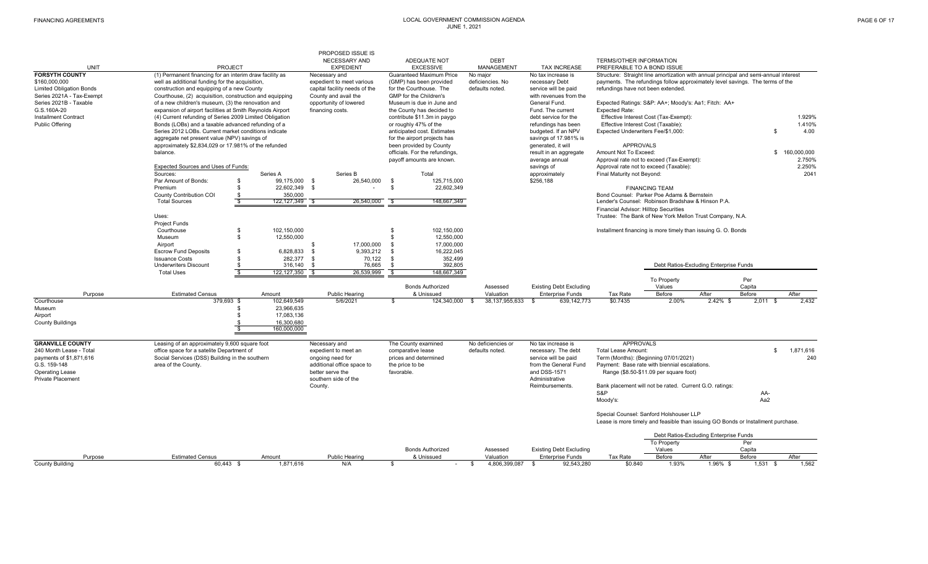|                                      |                                                           |                          |               | <b>PROPOSED ISSUE IS</b>          |                |                                              |              |                               |                                           |                                       |                                                                                      |                                        |               |               |
|--------------------------------------|-----------------------------------------------------------|--------------------------|---------------|-----------------------------------|----------------|----------------------------------------------|--------------|-------------------------------|-------------------------------------------|---------------------------------------|--------------------------------------------------------------------------------------|----------------------------------------|---------------|---------------|
|                                      |                                                           |                          |               | NECESSARY AND                     |                | ADEQUATE NOT                                 |              | <b>DEBT</b>                   |                                           | TERMS/OTHER INFORMATION               |                                                                                      |                                        |               |               |
| <b>UNIT</b><br><b>FORSYTH COUNTY</b> | (1) Permanent financing for an interim draw facility as   | <b>PROJECT</b>           |               | <b>EXPEDIENT</b><br>Necessary and |                | <b>EXCESSIVE</b><br>Guaranteed Maximum Price |              | <b>MANAGEMENT</b><br>No major | <b>TAX INCREASE</b><br>No tax increase is | PREFERABLE TO A BOND ISSUE            | Structure: Straight line amortization with annual principal and semi-annual interest |                                        |               |               |
| \$160,000,000                        | well as additional funding for the acquisition,           |                          |               | expedient to meet various         |                | (GMP) has been provided                      |              | deficiencies. No              | necessary Debt                            |                                       | payments. The refundings follow approximately level savings. The terms of the        |                                        |               |               |
| <b>Limited Obligation Bonds</b>      | construction and equipping of a new County                |                          |               | capital facility needs of the     |                | for the Courthouse. The                      |              | defaults noted.               | service will be paid                      | refundings have not been extended     |                                                                                      |                                        |               |               |
| Series 2021A - Tax-Exempt            | Courthouse, (2) acquisition, construction and equipping   |                          |               | County and avail the              |                | GMP for the Children's                       |              |                               | with revenues from the                    |                                       |                                                                                      |                                        |               |               |
| Series 2021B - Taxable               | of a new children's museum, (3) the renovation and        |                          |               | opportunity of lowered            |                | Museum is due in June and                    |              |                               | General Fund.                             |                                       | Expected Ratings: S&P: AA+; Moody's: Aa1; Fitch: AA+                                 |                                        |               |               |
| G.S.160A-20                          | expansion of airport facilities at Smith Reynolds Airport |                          |               | financing costs.                  |                | the County has decided to                    |              |                               | Fund. The current                         | <b>Expected Rate:</b>                 |                                                                                      |                                        |               |               |
| <b>Installment Contract</b>          | (4) Current refunding of Series 2009 Limited Obligation   |                          |               |                                   |                | contribute \$11.3m in paygo                  |              |                               | debt service for the                      |                                       | Effective Interest Cost (Tax-Exempt):                                                |                                        |               | 1.929%        |
| <b>Public Offering</b>               | Bonds (LOBs) and a taxable advanced refunding of a        |                          |               |                                   |                | or roughly 47% of the                        |              |                               | refundings has been                       | Effective Interest Cost (Taxable):    |                                                                                      |                                        |               | 1.410%        |
|                                      | Series 2012 LOBs. Current market conditions indicate      |                          |               |                                   |                | anticipated cost. Estimates                  |              |                               | budgeted. If an NPV                       | Expected Underwriters Fee/\$1,000:    |                                                                                      |                                        | \$            | 4.00          |
|                                      | aggregate net present value (NPV) savings of              |                          |               |                                   |                | for the airport projects has                 |              |                               | savings of 17.981% is                     |                                       |                                                                                      |                                        |               |               |
|                                      | approximately \$2,834,029 or 17.981% of the refunded      |                          |               |                                   |                | been provided by County                      |              |                               | generated, it will                        | <b>APPROVALS</b>                      |                                                                                      |                                        |               |               |
|                                      | balance.                                                  |                          |               |                                   |                | officials. For the refundings.               |              |                               | result in an aggregate                    | Amount Not To Exceed:                 |                                                                                      |                                        |               | \$160,000,000 |
|                                      |                                                           |                          |               |                                   |                | payoff amounts are known.                    |              |                               | average annual                            |                                       | Approval rate not to exceed (Tax-Exempt):                                            |                                        |               | 2.750%        |
|                                      | Expected Sources and Uses of Funds:                       |                          |               |                                   |                |                                              |              |                               | savings of                                |                                       | Approval rate not to exceed (Taxable):                                               |                                        |               | 2.250%        |
|                                      | Sources:                                                  |                          | Series A      | Series B                          |                | Total                                        |              |                               | approximately                             | Final Maturity not Beyond:            |                                                                                      |                                        |               | 2041          |
|                                      | Par Amount of Bonds:                                      | - \$                     | 99,175,000    | 26,540,000<br><b>S</b>            | - \$           | 125,715,000                                  |              |                               | \$256,188                                 |                                       |                                                                                      |                                        |               |               |
|                                      | Premium                                                   | \$                       | 22,602,349 \$ | $\sim$                            | <b>S</b>       | 22.602.349                                   |              |                               |                                           |                                       | <b>FINANCING TEAM</b>                                                                |                                        |               |               |
|                                      | County Contribution COI                                   | $\frac{\$}{\$}$          | 350,000       |                                   |                |                                              |              |                               |                                           |                                       | Bond Counsel: Parker Poe Adams & Bernstein                                           |                                        |               |               |
|                                      | <b>Total Sources</b>                                      |                          | 122, 127, 349 | 26,540,000<br>\$.                 | \$             | 148,667,349                                  |              |                               |                                           |                                       | Lender's Counsel: Robinson Bradshaw & Hinson P.A.                                    |                                        |               |               |
|                                      |                                                           |                          |               |                                   |                |                                              |              |                               |                                           | Financial Advisor: Hilltop Securities |                                                                                      |                                        |               |               |
|                                      | Uses:                                                     |                          |               |                                   |                |                                              |              |                               |                                           |                                       | Trustee: The Bank of New York Mellon Trust Company, N.A.                             |                                        |               |               |
|                                      | <b>Project Funds</b>                                      |                          |               |                                   |                |                                              |              |                               |                                           |                                       |                                                                                      |                                        |               |               |
|                                      | Courthouse                                                | - \$                     | 102.150.000   |                                   | \$             | 102.150.000                                  |              |                               |                                           |                                       | Installment financing is more timely than issuing G. O. Bonds                        |                                        |               |               |
|                                      | Museum                                                    | $\mathfrak{L}$           | 12,550,000    |                                   | £.             | 12,550,000                                   |              |                               |                                           |                                       |                                                                                      |                                        |               |               |
|                                      | Airport                                                   |                          |               | 17.000.000<br>\$                  | $\mathcal{S}$  | 17.000.000                                   |              |                               |                                           |                                       |                                                                                      |                                        |               |               |
|                                      | <b>Escrow Fund Deposits</b>                               | $\mathbf{s}$             | 6,828,833     | 9,393,212<br>$\mathfrak{R}$       | $\mathfrak{R}$ | 16,222,045                                   |              |                               |                                           |                                       |                                                                                      |                                        |               |               |
|                                      | <b>Issuance Costs</b>                                     | \$                       | 282,377       | 70,122<br>- \$                    | <b>S</b>       | 352,499                                      |              |                               |                                           |                                       |                                                                                      |                                        |               |               |
|                                      | <b>Underwriters Discount</b>                              | \$                       | 316,140       | 76,665<br>. ጽ                     | - \$           | 392.805                                      |              |                               |                                           |                                       |                                                                                      | Debt Ratios-Excluding Enterprise Funds |               |               |
|                                      | <b>Total Uses</b>                                         | $\overline{\mathbf{s}}$  | 122, 127, 350 | 26,539,999<br>$\bullet$           | -\$            | 148,667,349                                  |              |                               |                                           |                                       |                                                                                      |                                        |               |               |
|                                      |                                                           |                          |               |                                   |                | <b>Bonds Authorized</b>                      |              |                               | <b>Existing Debt Excluding</b>            |                                       | To Property<br>Values                                                                |                                        | Per<br>Capita |               |
| Purpose                              | <b>Estimated Census</b>                                   |                          | Amount        | Public Hearing                    |                | & Unissued                                   |              | Assessed<br>Valuation         | <b>Enterprise Funds</b>                   | Tax Rate                              | Before                                                                               | After                                  | Before        | After         |
| Courthouse                           | 379.693 \$                                                |                          | 102.649.549   | 5/6/2021                          | $\mathfrak{F}$ | 124.340.000                                  | $\mathbf{s}$ | 38.137.955.633                | 639.142.773<br>. ድ                        | \$0.7435                              | 2.00%                                                                                | $2.42\%$ \$                            | $2.011$ \$    | 2.432         |
| Museum                               |                                                           | \$                       | 23.966.635    |                                   |                |                                              |              |                               |                                           |                                       |                                                                                      |                                        |               |               |
| Airport                              |                                                           | $\mathfrak{R}$           | 17,083,136    |                                   |                |                                              |              |                               |                                           |                                       |                                                                                      |                                        |               |               |
| <b>County Buildings</b>              |                                                           | - \$                     | 16.300.680    |                                   |                |                                              |              |                               |                                           |                                       |                                                                                      |                                        |               |               |
|                                      |                                                           | $\overline{\mathcal{S}}$ | 160,000,000   |                                   |                |                                              |              |                               |                                           |                                       |                                                                                      |                                        |               |               |
|                                      |                                                           |                          |               |                                   |                |                                              |              |                               |                                           |                                       |                                                                                      |                                        |               |               |
| <b>GRANVILLE COUNTY</b>              | Leasing of an approximately 9,600 square foot             |                          |               | Necessary and                     |                | The County examined                          |              | No deficiencies or            | No tax increase is                        | <b>APPROVALS</b>                      |                                                                                      |                                        |               |               |
| 240 Month Lease - Total              | office space for a satelite Department of                 |                          |               | expedient to meet an              |                | comparative lease                            |              | defaults noted.               | necessary. The debt                       | <b>Total Lease Amount:</b>            |                                                                                      |                                        | \$            | 1,871,616     |
| payments of \$1,871,616              | Social Services (DSS) Building in the southern            |                          |               | ongoing need for                  |                | prices and determined                        |              |                               | service will be paid                      |                                       | Term (Months): (Beginning 07/01/2021)                                                |                                        |               | 240           |
| G.S. 159-148                         | area of the County.                                       |                          |               | additional office space to        |                | the price to be                              |              |                               | from the General Fund                     |                                       | Payment: Base rate with biennial escalations.                                        |                                        |               |               |
| <b>Operating Lease</b>               |                                                           |                          |               | better serve the                  | favorable.     |                                              |              |                               | and DSS-1571                              |                                       | Range (\$8.50-\$11.09 per square foot)                                               |                                        |               |               |
| <b>Private Placement</b>             |                                                           |                          |               | southern side of the              |                |                                              |              |                               | Administrative                            |                                       |                                                                                      |                                        |               |               |
|                                      |                                                           |                          |               | County.                           |                |                                              |              |                               | Reimbursements.                           |                                       | Bank placement will not be rated. Current G.O. ratings:                              |                                        |               |               |
|                                      |                                                           |                          |               |                                   |                |                                              |              |                               |                                           | S&P                                   |                                                                                      |                                        | AA-           |               |
|                                      |                                                           |                          |               |                                   |                |                                              |              |                               |                                           | Moody's:                              |                                                                                      |                                        | Aa2           |               |
|                                      |                                                           |                          |               |                                   |                |                                              |              |                               |                                           |                                       |                                                                                      |                                        |               |               |
|                                      |                                                           |                          |               |                                   |                |                                              |              |                               |                                           |                                       | Special Counsel: Sanford Holshouser LLP                                              |                                        |               |               |
|                                      |                                                           |                          |               |                                   |                |                                              |              |                               |                                           |                                       | Lease is more timely and feasible than issuing GO Bonds or Installment purchase.     |                                        |               |               |
|                                      |                                                           |                          |               |                                   |                |                                              |              |                               |                                           |                                       |                                                                                      | Debt Ratios-Excluding Enterprise Funds |               |               |
|                                      |                                                           |                          |               |                                   |                |                                              |              |                               |                                           |                                       | To Property                                                                          |                                        | Per           |               |
|                                      |                                                           |                          |               |                                   |                | <b>Bonds Authorized</b>                      |              | Assessed                      | <b>Existing Debt Excluding</b>            |                                       | Values                                                                               |                                        | Capita        |               |
| Purpose                              | <b>Estimated Census</b>                                   |                          | Amount        | Public Hearing                    |                | & Unissued                                   |              | Valuation                     | <b>Enterprise Funds</b>                   | Tax Rate                              | Before                                                                               | After                                  | Before        | After         |
| <b>County Building</b>               |                                                           | 60.443 \$                | 1.871.616     | N/A                               | \$             | $\sim$                                       | $\mathbf{s}$ | 4,806,399,087                 | 92.543.280                                | \$0.840                               | 1.93%                                                                                | 1.96% \$                               | $1.531$ \$    | 1.562         |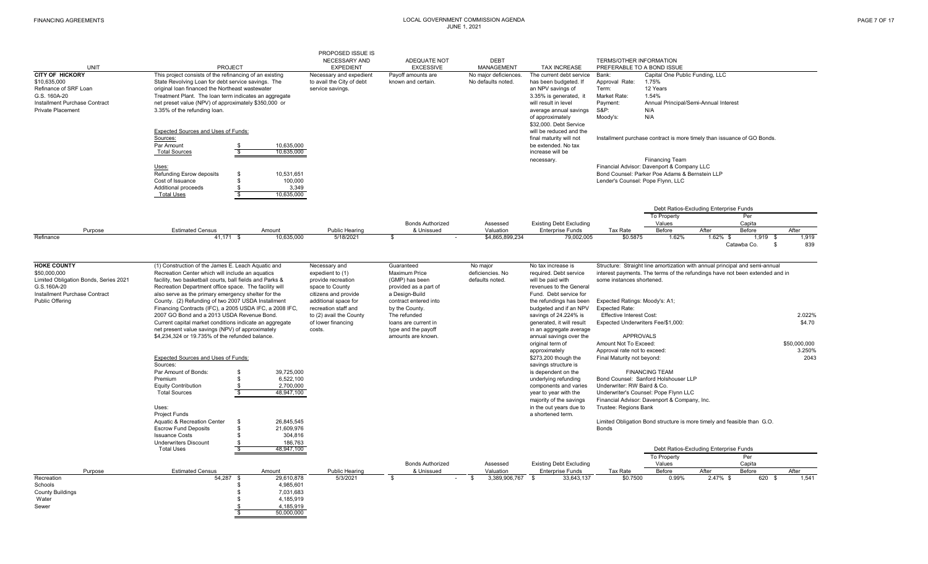|                                                                                                                                              |                                                                                                                                                                                                                                                                                                                                                                                                                                                                                                                                                                                                                                                                                                                                                                                                                                                                                                            | PROPOSED ISSUE IS                                                                                                                                                                            |                                                                                                                                                                                                                   |                                             |                                                                                                                                                                                                                                                                                                                                                                                                                                                                                                                                    |                                                                                                                                                                                                                                                                                                                                  |                                                                                                                                                                                                                                                                                                                   |                                        |                                 |                                                    |
|----------------------------------------------------------------------------------------------------------------------------------------------|------------------------------------------------------------------------------------------------------------------------------------------------------------------------------------------------------------------------------------------------------------------------------------------------------------------------------------------------------------------------------------------------------------------------------------------------------------------------------------------------------------------------------------------------------------------------------------------------------------------------------------------------------------------------------------------------------------------------------------------------------------------------------------------------------------------------------------------------------------------------------------------------------------|----------------------------------------------------------------------------------------------------------------------------------------------------------------------------------------------|-------------------------------------------------------------------------------------------------------------------------------------------------------------------------------------------------------------------|---------------------------------------------|------------------------------------------------------------------------------------------------------------------------------------------------------------------------------------------------------------------------------------------------------------------------------------------------------------------------------------------------------------------------------------------------------------------------------------------------------------------------------------------------------------------------------------|----------------------------------------------------------------------------------------------------------------------------------------------------------------------------------------------------------------------------------------------------------------------------------------------------------------------------------|-------------------------------------------------------------------------------------------------------------------------------------------------------------------------------------------------------------------------------------------------------------------------------------------------------------------|----------------------------------------|---------------------------------|----------------------------------------------------|
|                                                                                                                                              |                                                                                                                                                                                                                                                                                                                                                                                                                                                                                                                                                                                                                                                                                                                                                                                                                                                                                                            | NECESSARY AND                                                                                                                                                                                | ADEQUATE NOT                                                                                                                                                                                                      | <b>DEBT</b>                                 |                                                                                                                                                                                                                                                                                                                                                                                                                                                                                                                                    | TERMS/OTHER INFORMATION                                                                                                                                                                                                                                                                                                          |                                                                                                                                                                                                                                                                                                                   |                                        |                                 |                                                    |
| <b>UNIT</b>                                                                                                                                  | <b>PROJECT</b>                                                                                                                                                                                                                                                                                                                                                                                                                                                                                                                                                                                                                                                                                                                                                                                                                                                                                             | <b>EXPEDIENT</b>                                                                                                                                                                             | <b>EXCESSIVE</b>                                                                                                                                                                                                  | <b>MANAGEMENT</b>                           | <b>TAX INCREASE</b>                                                                                                                                                                                                                                                                                                                                                                                                                                                                                                                | PREFERABLE TO A BOND ISSUE                                                                                                                                                                                                                                                                                                       |                                                                                                                                                                                                                                                                                                                   |                                        |                                 |                                                    |
| <b>CITY OF HICKORY</b><br>\$10,635,000<br>Refinance of SRF Loan<br>G.S. 160A-20<br>Installment Purchase Contract<br><b>Private Placement</b> | This project consists of the refinancing of an existing<br>State Revolving Loan for debt service savings. The<br>original loan financed the Northeast wastewater<br>Treatment Plant. The loan term indicates an aggregate<br>net preset value (NPV) of approximately \$350,000 or<br>3.35% of the refunding loan.<br>Expected Sources and Uses of Funds:<br>Sources:<br>Par Amount<br>10.635.000<br>- \$<br>$\overline{\mathbf{s}}$<br><b>Total Sources</b><br>10.635.000<br>Uses:<br><b>Refunding Esrow deposits</b><br>$\mathbf{s}$<br>10.531.651<br>100,000<br>Cost of Issuance<br>\$                                                                                                                                                                                                                                                                                                                   | Necessary and expedient<br>to avail the City of debt<br>service savings.                                                                                                                     | Payoff amounts are<br>known and certain.                                                                                                                                                                          | No major deficiences.<br>No defaults noted. | The current debt service<br>has been budgeted. If<br>an NPV savings of<br>3.35% is generated, it<br>will result in level<br>average annual savings<br>of approximately<br>\$32,000. Debt Service<br>will be reduced and the<br>final maturity will not<br>be extended. No tax<br>increase will be<br>necessary.                                                                                                                                                                                                                    | Bank:<br>Approval Rate:<br>Term:<br>Market Rate:<br>Payment:<br><b>S&amp;P:</b><br>Moody's:<br>Lender's Counsel: Pope Flynn, LLC                                                                                                                                                                                                 | Capital One Public Funding, LLC<br>1.75%<br>12 Years<br>1.54%<br>N/A<br>N/A<br>Installment purchase contract is more timely than issuance of GO Bonds.<br><b>Fiinancing Team</b><br>Financial Advisor: Davenport & Company LLC<br>Bond Counsel: Parker Poe Adams & Bernstein LLP                                  | Annual Principal/Semi-Annual Interest  |                                 |                                                    |
|                                                                                                                                              | Additional proceeds<br>\$.<br>-S<br><b>Total Uses</b><br>10,635,000                                                                                                                                                                                                                                                                                                                                                                                                                                                                                                                                                                                                                                                                                                                                                                                                                                        | 3.349                                                                                                                                                                                        |                                                                                                                                                                                                                   |                                             |                                                                                                                                                                                                                                                                                                                                                                                                                                                                                                                                    |                                                                                                                                                                                                                                                                                                                                  |                                                                                                                                                                                                                                                                                                                   | Debt Ratios-Excluding Enterprise Funds | Per                             |                                                    |
|                                                                                                                                              |                                                                                                                                                                                                                                                                                                                                                                                                                                                                                                                                                                                                                                                                                                                                                                                                                                                                                                            |                                                                                                                                                                                              | <b>Bonds Authorized</b>                                                                                                                                                                                           | Assessed                                    | <b>Existing Debt Excluding</b>                                                                                                                                                                                                                                                                                                                                                                                                                                                                                                     |                                                                                                                                                                                                                                                                                                                                  | To Property<br>Values                                                                                                                                                                                                                                                                                             |                                        | Capita                          |                                                    |
| Purpose                                                                                                                                      | <b>Estimated Census</b><br>Amount                                                                                                                                                                                                                                                                                                                                                                                                                                                                                                                                                                                                                                                                                                                                                                                                                                                                          | <b>Public Hearing</b>                                                                                                                                                                        | & Unissued                                                                                                                                                                                                        | Valuation                                   | <b>Enterprise Funds</b>                                                                                                                                                                                                                                                                                                                                                                                                                                                                                                            | Tax Rate                                                                                                                                                                                                                                                                                                                         | Before                                                                                                                                                                                                                                                                                                            | After                                  | Before                          | After                                              |
| Refinance                                                                                                                                    | 41,171 \$<br>10,635,000                                                                                                                                                                                                                                                                                                                                                                                                                                                                                                                                                                                                                                                                                                                                                                                                                                                                                    | 5/18/2021                                                                                                                                                                                    | \$.                                                                                                                                                                                                               | \$4,865,899,234                             | 79,002,005                                                                                                                                                                                                                                                                                                                                                                                                                                                                                                                         | \$0.5875                                                                                                                                                                                                                                                                                                                         | 1.62%                                                                                                                                                                                                                                                                                                             | $1.62\%$ \$                            | $1,919$ \$<br>Catawba Co.<br>\$ | 1,919<br>839                                       |
| <b>HOKE COUNTY</b>                                                                                                                           | (1) Construction of the James E. Leach Aquatic and                                                                                                                                                                                                                                                                                                                                                                                                                                                                                                                                                                                                                                                                                                                                                                                                                                                         | Necessary and                                                                                                                                                                                | Guaranteed                                                                                                                                                                                                        | No major                                    | No tax increase is                                                                                                                                                                                                                                                                                                                                                                                                                                                                                                                 |                                                                                                                                                                                                                                                                                                                                  | Structure: Straight line amortization with annual principal and semi-annual                                                                                                                                                                                                                                       |                                        |                                 |                                                    |
| \$50,000,000<br>Limited Obligation Bonds, Series 2021<br>G.S.160A-20<br>Installment Purchase Contract<br><b>Public Offering</b>              | Recreation Center which will include an aquatics<br>facility, two basketball courts, ball fields and Parks &<br>Recreation Department office space. The facility will<br>also serve as the primary emergency shelter for the<br>County. (2) Refunding of two 2007 USDA Installment<br>Financing Contracts (IFC), a 2005 USDA IFC, a 2008 IFC,<br>2007 GO Bond and a 2013 USDA Revenue Bond.<br>Current capital market conditions indicate an aggregate<br>net present value savings (NPV) of approximately<br>\$4,234,324 or 19.735% of the refunded balance.<br>Expected Sources and Uses of Funds:<br>Sources:<br>Par Amount of Bonds:<br>39.725.000<br>$\mathbf{s}$<br>Premium<br>\$<br>6,522,100<br>2.700.000<br><b>Equity Contribution</b><br>\$<br>$\overline{\mathbb{S}}$<br><b>Total Sources</b><br>48.947.100<br>Uses:<br><b>Project Funds</b><br>26,845,545<br>Aquatic & Recreation Center<br>\$ | expedient to (1)<br>provide recreation<br>space to County<br>citizens and provide<br>additional space for<br>recreation staff and<br>to (2) avail the County<br>of lower financing<br>costs. | <b>Maximum Price</b><br>(GMP) has been<br>provided as a part of<br>a Design-Build<br>contract entered into<br>by the County.<br>The refunded<br>loans are current in<br>type and the payoff<br>amounts are known. | deficiencies. No<br>defaults noted.         | required. Debt service<br>will be paid with<br>revenues to the General<br>Fund. Debt service for<br>the refundings has been<br>budgeted and if an NPV<br>savings of 24.224% is<br>generated, it will result<br>in an aggregate average<br>annual savings over the<br>original term of<br>approximately<br>\$273,200 though the<br>savings structure is<br>is dependent on the<br>underlying refunding<br>components and varies<br>year to year with the<br>majority of the savings<br>in the out years due to<br>a shortened term. | some instances shortened.<br>Expected Ratings: Moody's: A1;<br><b>Expected Rate:</b><br><b>Effective Interest Cost:</b><br>Expected Underwriters Fee/\$1,000:<br><b>APPROVALS</b><br>Amount Not To Exceed:<br>Approval rate not to exceed:<br>Final Maturity not beyond:<br>Underwriter: RW Baird & Co.<br>Trustee: Regions Bank | interest payments. The terms of the refundings have not been extended and in<br><b>FINANCING TEAM</b><br>Bond Counsel: Sanford Holshouser LLP<br>Underwriter's Counsel: Pope Flynn LLC<br>Financial Advisor: Davenport & Company, Inc.<br>Limited Obligation Bond structure is more timely and feasible than G.O. |                                        |                                 | 2.022%<br>\$4.70<br>\$50,000,000<br>3.250%<br>2043 |
|                                                                                                                                              | 21.609.976<br><b>Escrow Fund Deposits</b><br>\$.<br><b>Issuance Costs</b><br>304,816<br>\$<br><b>Underwriters Discount</b><br>186,763<br>\$                                                                                                                                                                                                                                                                                                                                                                                                                                                                                                                                                                                                                                                                                                                                                                |                                                                                                                                                                                              |                                                                                                                                                                                                                   |                                             |                                                                                                                                                                                                                                                                                                                                                                                                                                                                                                                                    | <b>Bonds</b>                                                                                                                                                                                                                                                                                                                     |                                                                                                                                                                                                                                                                                                                   |                                        |                                 |                                                    |
|                                                                                                                                              | $\overline{\mathbf{s}}$<br><b>Total Uses</b><br>48,947,100                                                                                                                                                                                                                                                                                                                                                                                                                                                                                                                                                                                                                                                                                                                                                                                                                                                 |                                                                                                                                                                                              |                                                                                                                                                                                                                   |                                             |                                                                                                                                                                                                                                                                                                                                                                                                                                                                                                                                    |                                                                                                                                                                                                                                                                                                                                  |                                                                                                                                                                                                                                                                                                                   | Debt Ratios-Excluding Enterprise Funds |                                 |                                                    |
|                                                                                                                                              |                                                                                                                                                                                                                                                                                                                                                                                                                                                                                                                                                                                                                                                                                                                                                                                                                                                                                                            |                                                                                                                                                                                              |                                                                                                                                                                                                                   |                                             |                                                                                                                                                                                                                                                                                                                                                                                                                                                                                                                                    |                                                                                                                                                                                                                                                                                                                                  | To Property                                                                                                                                                                                                                                                                                                       |                                        | Per                             |                                                    |
|                                                                                                                                              |                                                                                                                                                                                                                                                                                                                                                                                                                                                                                                                                                                                                                                                                                                                                                                                                                                                                                                            |                                                                                                                                                                                              | <b>Bonds Authorized</b>                                                                                                                                                                                           | Assessed                                    | <b>Existing Debt Excluding</b>                                                                                                                                                                                                                                                                                                                                                                                                                                                                                                     |                                                                                                                                                                                                                                                                                                                                  | Values                                                                                                                                                                                                                                                                                                            |                                        | Capita                          |                                                    |
| Purpose                                                                                                                                      | <b>Estimated Census</b><br>Amount                                                                                                                                                                                                                                                                                                                                                                                                                                                                                                                                                                                                                                                                                                                                                                                                                                                                          | <b>Public Hearing</b>                                                                                                                                                                        | & Unissued                                                                                                                                                                                                        | Valuation                                   | <b>Enterprise Funds</b>                                                                                                                                                                                                                                                                                                                                                                                                                                                                                                            | <b>Tax Rate</b>                                                                                                                                                                                                                                                                                                                  | Before                                                                                                                                                                                                                                                                                                            | After                                  | Before                          | After                                              |
| Recreation<br>Schools<br><b>County Buildings</b><br>Water<br>Sewer                                                                           | 54,287 \$<br>29,610,878<br>4,985,601<br>\$<br>7.031.683<br>\$<br>4,185,919<br>\$<br>4.185.919<br>\$<br>50,000,000<br>$\mathfrak{L}$                                                                                                                                                                                                                                                                                                                                                                                                                                                                                                                                                                                                                                                                                                                                                                        | 5/3/2021                                                                                                                                                                                     | $\mathfrak{L}$                                                                                                                                                                                                    | 3,389,906,767<br>\$                         | 33,643,137<br>. ድ                                                                                                                                                                                                                                                                                                                                                                                                                                                                                                                  | \$0.7500                                                                                                                                                                                                                                                                                                                         | 0.99%                                                                                                                                                                                                                                                                                                             | 2.47% \$                               | 620 \$                          | 1,541                                              |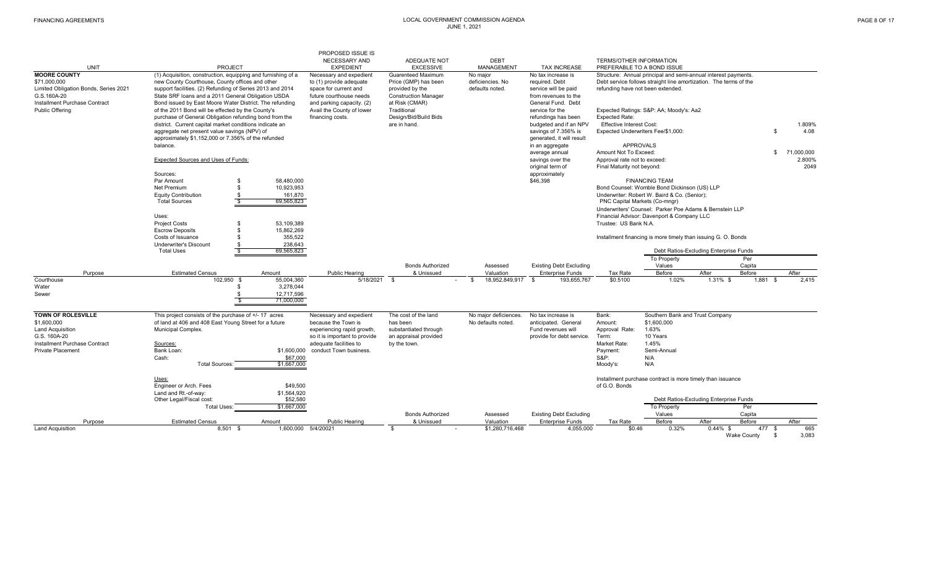|                                                                                             |                                                                                                                                                                                                                                    |                       | PROPOSED ISSUE IS<br>NECESSARY AND                                                                     | ADEQUATE NOT                                                                                        | <b>DEBT</b>                                     |                                                                                      | <b>TERMS/OTHER INFORMATION</b>                           |                                                                                                                                     |                                        |                      |                            |
|---------------------------------------------------------------------------------------------|------------------------------------------------------------------------------------------------------------------------------------------------------------------------------------------------------------------------------------|-----------------------|--------------------------------------------------------------------------------------------------------|-----------------------------------------------------------------------------------------------------|-------------------------------------------------|--------------------------------------------------------------------------------------|----------------------------------------------------------|-------------------------------------------------------------------------------------------------------------------------------------|----------------------------------------|----------------------|----------------------------|
| <b>UNIT</b>                                                                                 | <b>PROJECT</b>                                                                                                                                                                                                                     |                       | <b>EXPEDIENT</b>                                                                                       | <b>EXCESSIVE</b>                                                                                    | <b>MANAGEMENT</b>                               | <b>TAX INCREASE</b>                                                                  |                                                          | PREFERABLE TO A BOND ISSUE                                                                                                          |                                        |                      |                            |
| <b>MOORE COUNTY</b><br>\$71,000,000<br>Limited Obligation Bonds, Series 2021<br>G.S.160A-20 | (1) Acquisition, construction, equipping and furnishing of a<br>new County Courthouse, County offices and other<br>support facilities. (2) Refunding of Series 2013 and 2014<br>State SRF loans and a 2011 General Obligation USDA |                       | Necessary and expedient<br>to (1) provide adequate<br>space for current and<br>future courthouse needs | <b>Guarenteed Maximum</b><br>Price (GMP) has been<br>provided by the<br><b>Construction Manager</b> | No maior<br>deficiencies. No<br>defaults noted. | No tax increase is<br>required, Debt<br>service will be paid<br>from revenues to the | refunding have not been extended.                        | Structure: Annual principal and semi-annual interest payments.<br>Debt service follows straight line amortization. The terms of the |                                        |                      |                            |
| Installment Purchase Contract<br>Public Offering                                            | Bond issued by East Moore Water District. The refunding<br>of the 2011 Bond will be effected by the County's                                                                                                                       |                       | and parking capacity. (2)<br>Avail the County of lower                                                 | at Risk (CMAR)<br>Traditional                                                                       |                                                 | General Fund. Debt<br>service for the                                                |                                                          | Expected Ratings: S&P: AA; Moody's: Aa2                                                                                             |                                        |                      |                            |
|                                                                                             | purchase of General Obligation refunding bond from the<br>district. Current capital market conditions indicate an                                                                                                                  |                       | financing costs.                                                                                       | Design/Bid/Build Bids<br>are in hand.                                                               |                                                 | refundings has been<br>budgeted and if an NPV                                        | <b>Expected Rate:</b><br><b>Effective Interest Cost:</b> |                                                                                                                                     |                                        |                      | 1.809%                     |
|                                                                                             | aggregate net present value savings (NPV) of                                                                                                                                                                                       |                       |                                                                                                        |                                                                                                     |                                                 | savings of 7.356% is                                                                 |                                                          | Expected Underwriters Fee/\$1.000:                                                                                                  |                                        |                      | 4.08<br>-S                 |
|                                                                                             | approximately \$1,152,000 or 7.356% of the refunded<br>balance.                                                                                                                                                                    |                       |                                                                                                        |                                                                                                     |                                                 | generated, it will result<br>in an aggregate                                         |                                                          | <b>APPROVALS</b>                                                                                                                    |                                        |                      |                            |
|                                                                                             | Expected Sources and Uses of Funds:                                                                                                                                                                                                |                       |                                                                                                        |                                                                                                     |                                                 | average annual<br>savings over the                                                   | Amount Not To Exceed:<br>Approval rate not to exceed:    |                                                                                                                                     |                                        |                      | 71.000.000<br>S.<br>2.800% |
|                                                                                             |                                                                                                                                                                                                                                    |                       |                                                                                                        |                                                                                                     |                                                 | original term of                                                                     | Final Maturity not bevond:                               |                                                                                                                                     |                                        |                      | 2049                       |
|                                                                                             | Sources:<br>Par Amount<br>\$                                                                                                                                                                                                       | 58,480,000            |                                                                                                        |                                                                                                     |                                                 | approximately<br>\$46,398                                                            |                                                          | <b>FINANCING TEAM</b>                                                                                                               |                                        |                      |                            |
|                                                                                             | Net Premium<br>\$                                                                                                                                                                                                                  | 10,923,953            |                                                                                                        |                                                                                                     |                                                 |                                                                                      |                                                          | Bond Counsel: Womble Bond Dickinson (US) LLP                                                                                        |                                        |                      |                            |
|                                                                                             | <b>Equity Contribution</b>                                                                                                                                                                                                         | 161,870               |                                                                                                        |                                                                                                     |                                                 |                                                                                      |                                                          | Underwriter: Robert W. Baird & Co. (Senior);                                                                                        |                                        |                      |                            |
|                                                                                             | $\frac{\$}{\$}$<br><b>Total Sources</b>                                                                                                                                                                                            | 69,565,823            |                                                                                                        |                                                                                                     |                                                 |                                                                                      | PNC Capital Markets (Co-mngr)                            |                                                                                                                                     |                                        |                      |                            |
|                                                                                             | Uses:                                                                                                                                                                                                                              |                       |                                                                                                        |                                                                                                     |                                                 |                                                                                      |                                                          | Underwriters' Counsel: Parker Poe Adams & Bernstein LLP<br>Financial Advisor: Davenport & Company LLC                               |                                        |                      |                            |
|                                                                                             | <b>Project Costs</b><br>- \$                                                                                                                                                                                                       | 53,109,389            |                                                                                                        |                                                                                                     |                                                 |                                                                                      | Trustee: US Bank N.A.                                    |                                                                                                                                     |                                        |                      |                            |
|                                                                                             | <b>Escrow Deposits</b><br>\$<br>Costs of Issuance<br>$\mathbf{s}$                                                                                                                                                                  | 15,862,269<br>355,522 |                                                                                                        |                                                                                                     |                                                 |                                                                                      |                                                          | Installment financing is more timely than issuing G. O. Bonds                                                                       |                                        |                      |                            |
|                                                                                             | <b>Underwriter's Discount</b><br>\$                                                                                                                                                                                                | 238,643               |                                                                                                        |                                                                                                     |                                                 |                                                                                      |                                                          |                                                                                                                                     |                                        |                      |                            |
|                                                                                             | <b>Total Uses</b><br>-S                                                                                                                                                                                                            | 69,565,823            |                                                                                                        |                                                                                                     |                                                 |                                                                                      |                                                          |                                                                                                                                     | Debt Ratios-Excluding Enterprise Funds |                      |                            |
|                                                                                             |                                                                                                                                                                                                                                    |                       |                                                                                                        |                                                                                                     |                                                 |                                                                                      |                                                          | To Property                                                                                                                         |                                        | Per                  |                            |
|                                                                                             |                                                                                                                                                                                                                                    |                       |                                                                                                        | <b>Bonds Authorized</b>                                                                             | Assessed                                        | <b>Existing Debt Excluding</b>                                                       |                                                          | Values                                                                                                                              |                                        | Capita               |                            |
| Purpose<br>Courthouse                                                                       | <b>Estimated Census</b><br>102.950 \$                                                                                                                                                                                              | Amount<br>55,004,360  | Public Hearing<br>5/18/2021                                                                            | & Unissued<br>$\mathbf{s}$                                                                          | Valuation<br>18.952.849.917<br>$\mathbf{s}$     | <b>Enterprise Funds</b><br>193,655,767<br><b>S</b>                                   | Tax Rate<br>\$0,5100                                     | Before<br>1.02%                                                                                                                     | After<br>1.31% \$                      | Before<br>$1,881$ \$ | After<br>2.415             |
| Water                                                                                       |                                                                                                                                                                                                                                    | 3,278,044             |                                                                                                        |                                                                                                     |                                                 |                                                                                      |                                                          |                                                                                                                                     |                                        |                      |                            |
| Sewer                                                                                       | \$                                                                                                                                                                                                                                 | 12,717,596            |                                                                                                        |                                                                                                     |                                                 |                                                                                      |                                                          |                                                                                                                                     |                                        |                      |                            |
|                                                                                             | $\overline{\mathbf{s}}$                                                                                                                                                                                                            | 71,000,000            |                                                                                                        |                                                                                                     |                                                 |                                                                                      |                                                          |                                                                                                                                     |                                        |                      |                            |
| <b>TOWN OF ROLESVILLE</b>                                                                   | This project consists of the purchase of +/- 17 acres                                                                                                                                                                              |                       | Necessary and expedient                                                                                | The cost of the land                                                                                | No major deficiences                            | No tax increase is                                                                   | Bank:                                                    | Southern Bank and Trust Company                                                                                                     |                                        |                      |                            |
| \$1,600,000                                                                                 | of land at 406 and 408 East Young Street for a future                                                                                                                                                                              |                       | because the Town is                                                                                    | has been                                                                                            | No defaults noted.                              | anticipated. General                                                                 | Amount:                                                  | \$1,600,000                                                                                                                         |                                        |                      |                            |
| <b>Land Acquisition</b><br>G.S. 160A-20                                                     | Municipal Complex.                                                                                                                                                                                                                 |                       | experiencing rapid growth,                                                                             | substantiated through                                                                               |                                                 | Fund revenues will                                                                   | Approval Rate:                                           | 1.63%<br>10 Years                                                                                                                   |                                        |                      |                            |
| Installment Purchase Contract                                                               | Sources:                                                                                                                                                                                                                           |                       | so it is important to provide<br>adequate facilities to                                                | an appraisal provided<br>by the town.                                                               |                                                 | provide for debt service.                                                            | Term:<br>Market Rate:                                    | 1.45%                                                                                                                               |                                        |                      |                            |
| <b>Private Placement</b>                                                                    | Bank Loan:                                                                                                                                                                                                                         | \$1,600,000           | conduct Town business.                                                                                 |                                                                                                     |                                                 |                                                                                      | Payment:                                                 | Semi-Annual                                                                                                                         |                                        |                      |                            |
|                                                                                             | Cash:                                                                                                                                                                                                                              | \$67,000              |                                                                                                        |                                                                                                     |                                                 |                                                                                      | <b>S&amp;P:</b>                                          | N/A                                                                                                                                 |                                        |                      |                            |
|                                                                                             | <b>Total Sources:</b>                                                                                                                                                                                                              | \$1,667,000           |                                                                                                        |                                                                                                     |                                                 |                                                                                      | Moody's:                                                 | N/A                                                                                                                                 |                                        |                      |                            |
|                                                                                             | Uses:<br>Engineer or Arch. Fees                                                                                                                                                                                                    | \$49,500              |                                                                                                        |                                                                                                     |                                                 |                                                                                      | of G.O. Bonds                                            | Installment purchase contract is more timely than issuance                                                                          |                                        |                      |                            |
|                                                                                             | Land and Rt.-of-way:                                                                                                                                                                                                               | \$1,564,920           |                                                                                                        |                                                                                                     |                                                 |                                                                                      |                                                          |                                                                                                                                     |                                        |                      |                            |
|                                                                                             | Other Legal/Fiscal cost:                                                                                                                                                                                                           | \$52,580              |                                                                                                        |                                                                                                     |                                                 |                                                                                      |                                                          |                                                                                                                                     | Debt Ratios-Excluding Enterprise Funds |                      |                            |
|                                                                                             | <b>Total Uses:</b>                                                                                                                                                                                                                 | \$1,667,000           |                                                                                                        |                                                                                                     |                                                 |                                                                                      |                                                          | <b>To Property</b>                                                                                                                  |                                        | Per                  |                            |
|                                                                                             |                                                                                                                                                                                                                                    |                       |                                                                                                        | <b>Bonds Authorized</b>                                                                             | Assessed                                        | <b>Existing Debt Excluding</b>                                                       |                                                          | Values                                                                                                                              |                                        | Capita               |                            |
| Purpose                                                                                     |                                                                                                                                                                                                                                    |                       |                                                                                                        |                                                                                                     |                                                 |                                                                                      |                                                          |                                                                                                                                     |                                        |                      |                            |
| <b>Land Acquisition</b>                                                                     | <b>Estimated Census</b><br>$8.501$ \$                                                                                                                                                                                              | Amount                | Public Hearing<br>1.600.000 5/4/20021                                                                  | & Unissued<br>$\mathfrak{R}$                                                                        | Valuation<br>\$1,280,716,468                    | <b>Enterprise Funds</b><br>4,055,000                                                 | Tax Rate<br>\$0.46                                       | Before<br>0.32%                                                                                                                     | After<br>$0.44\%$ \$                   | Before<br>477 \$     | After<br>665               |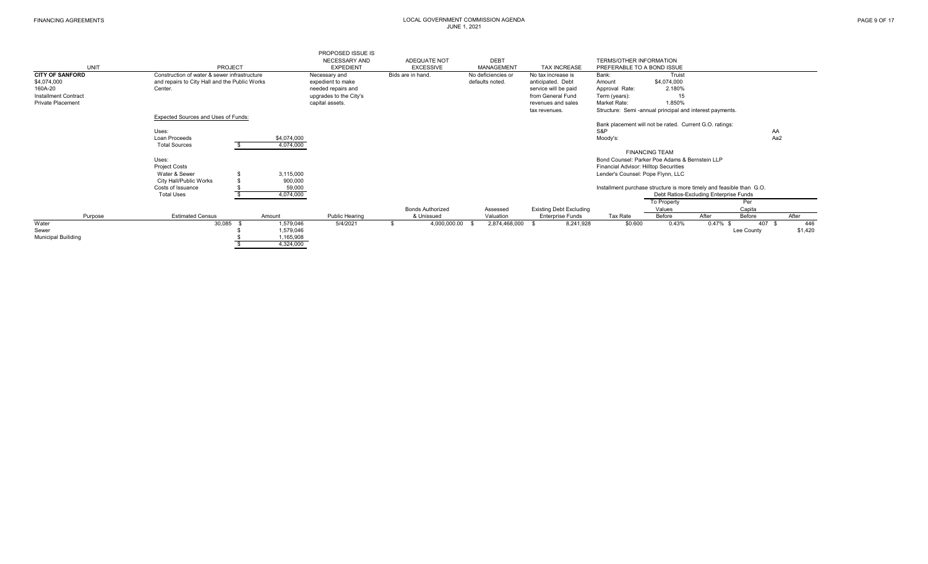|                             |                                               |             | PROPOSED ISSUE IS      |                         |                    |                                |                                                                      |                       |                                        |            |         |
|-----------------------------|-----------------------------------------------|-------------|------------------------|-------------------------|--------------------|--------------------------------|----------------------------------------------------------------------|-----------------------|----------------------------------------|------------|---------|
|                             |                                               |             | <b>NECESSARY AND</b>   | ADEQUATE NOT            | <b>DEBT</b>        |                                | <b>TERMS/OTHER INFORMATION</b>                                       |                       |                                        |            |         |
| <b>UNIT</b>                 | PROJECT                                       |             | <b>EXPEDIENT</b>       | <b>EXCESSIVE</b>        | <b>MANAGEMENT</b>  | <b>TAX INCREASE</b>            | PREFERABLE TO A BOND ISSUE                                           |                       |                                        |            |         |
| <b>CITY OF SANFORD</b>      | Construction of water & sewer infrastructure  |             | Necessary and          | Bids are in hand.       | No deficiencies or | No tax increase is             | Bank:                                                                | Truist                |                                        |            |         |
| \$4,074,000                 | and repairs to City Hall and the Public Works |             | expedient to make      |                         | defaults noted.    | anticipated. Debt              | Amount                                                               | \$4,074,000           |                                        |            |         |
| 160A-20                     | Center.                                       |             | needed repairs and     |                         |                    | service will be paid           | Approval Rate:                                                       | 2.180%                |                                        |            |         |
| <b>Installment Contract</b> |                                               |             | upgrades to the City's |                         |                    | from General Fund              | Term (years):                                                        | 15                    |                                        |            |         |
| <b>Private Placement</b>    |                                               |             | capital assets.        |                         |                    | revenues and sales             | Market Rate:                                                         | 1.850%                |                                        |            |         |
|                             |                                               |             |                        |                         |                    | tax revenues.                  | Structure: Semi-annual principal and interest payments.              |                       |                                        |            |         |
|                             | Expected Sources and Uses of Funds:           |             |                        |                         |                    |                                |                                                                      |                       |                                        |            |         |
|                             |                                               |             |                        |                         |                    |                                | Bank placement will not be rated. Current G.O. ratings:              |                       |                                        |            |         |
|                             | Uses:                                         |             |                        |                         |                    |                                | S&P                                                                  |                       |                                        | AA         |         |
|                             | Loan Proceeds                                 | \$4,074,000 |                        |                         |                    |                                | Moody's:                                                             |                       |                                        | Aa2        |         |
|                             | <b>Total Sources</b>                          | 4,074,000   |                        |                         |                    |                                |                                                                      |                       |                                        |            |         |
|                             |                                               |             |                        |                         |                    |                                |                                                                      | <b>FINANCING TEAM</b> |                                        |            |         |
|                             | Uses:                                         |             |                        |                         |                    |                                | Bond Counsel: Parker Poe Adams & Bernstein LLP                       |                       |                                        |            |         |
|                             | <b>Project Costs</b>                          |             |                        |                         |                    |                                | Financial Advisor: Hilltop Securities                                |                       |                                        |            |         |
|                             | Water & Sewer                                 | 3,115,000   |                        |                         |                    |                                | Lender's Counsel: Pope Flynn, LLC                                    |                       |                                        |            |         |
|                             | City Hall/Public Works                        | 900,000     |                        |                         |                    |                                |                                                                      |                       |                                        |            |         |
|                             | Costs of Issuance                             | 59,000      |                        |                         |                    |                                | Installment purchase structure is more timely and feasible than G.O. |                       |                                        |            |         |
|                             | <b>Total Uses</b>                             | 4,074,000   |                        |                         |                    |                                |                                                                      |                       | Debt Ratios-Excluding Enterprise Funds |            |         |
|                             |                                               |             |                        |                         |                    |                                |                                                                      | To Property           |                                        | Per        |         |
|                             |                                               |             |                        | <b>Bonds Authorized</b> | Assessed           | <b>Existing Debt Excluding</b> |                                                                      | Values                |                                        | Capita     |         |
| Purpose                     | <b>Estimated Census</b>                       | Amount      | <b>Public Hearing</b>  | & Unissued              | Valuation          | <b>Enterprise Funds</b>        | Tax Rate                                                             | Before                | After                                  | Before     | After   |
| Water                       | 30,085                                        | 1,579,046   | 5/4/2021               | 4,000,000.00            | 2,874,468,000      | 8,241,928                      | \$0.600                                                              | 0.43%                 | $0.47\%$ \$                            | 407        | 446     |
| Sewer                       |                                               | 1,579,046   |                        |                         |                    |                                |                                                                      |                       |                                        | Lee County | \$1,420 |
| <b>Municipal Builiding</b>  |                                               | 1,165,908   |                        |                         |                    |                                |                                                                      |                       |                                        |            |         |
|                             |                                               | 4,324,000   |                        |                         |                    |                                |                                                                      |                       |                                        |            |         |
|                             |                                               |             |                        |                         |                    |                                |                                                                      |                       |                                        |            |         |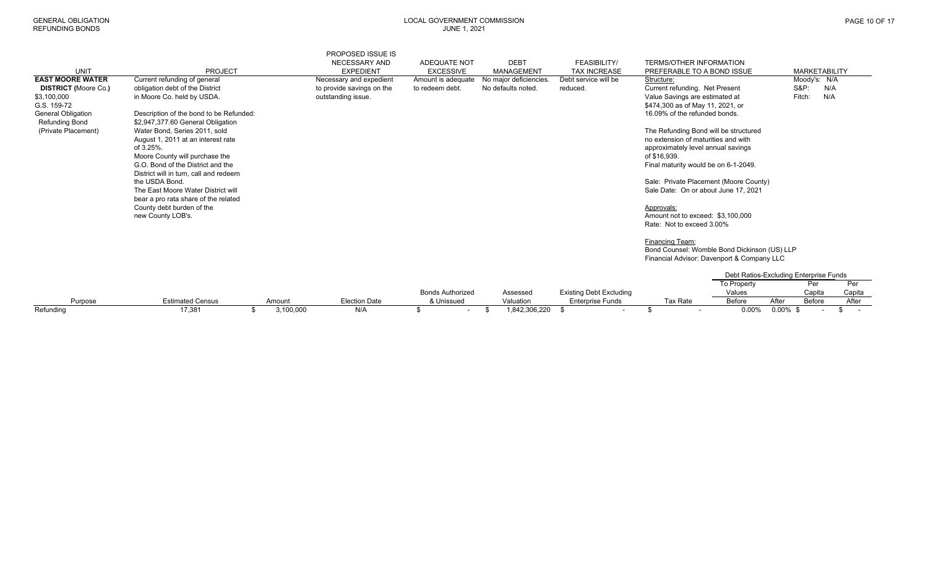G.S. 159-72

| טעוטט טוועוט וא             |                                                          |                                                        | JUIVE 1, ZUZ I                   |                           |                                     |                                                                    |                        |
|-----------------------------|----------------------------------------------------------|--------------------------------------------------------|----------------------------------|---------------------------|-------------------------------------|--------------------------------------------------------------------|------------------------|
| <b>UNIT</b>                 | <b>PROJECT</b>                                           | PROPOSED ISSUE IS<br>NECESSARY AND<br><b>EXPEDIENT</b> | ADEQUATE NOT<br><b>EXCESSIVE</b> | <b>DEBT</b><br>MANAGEMENT | FEASIBILITY/<br><b>TAX INCREASE</b> | <b>TERMS/OTHER INFORMATION</b><br>PREFERABLE TO A BOND ISSUE       | <b>MARKETABILITY</b>   |
| <b>EAST MOORE WATER</b>     | Current refunding of general                             | Necessary and expedient                                | Amount is adequate               | No major deficiencies.    | Debt service will be                | Structure:                                                         | Moody's: N/A           |
| <b>DISTRICT (Moore Co.)</b> | obligation debt of the District                          | to provide savings on the                              | to redeem debt.                  | No defaults noted.        | reduced.                            | Current refunding. Net Present                                     | <b>S&amp;P:</b><br>N/A |
| \$3,100,000<br>G.S. 159-72  | in Moore Co. held by USDA.                               | outstanding issue.                                     |                                  |                           |                                     | Value Savings are estimated at<br>\$474,300 as of May 11, 2021, or | Fitch:<br>N/A          |
| General Obligation          | Description of the bond to be Refunded:                  |                                                        |                                  |                           |                                     | 16.09% of the refunded bonds.                                      |                        |
| Refunding Bond              | \$2,947,377.60 General Obligation                        |                                                        |                                  |                           |                                     |                                                                    |                        |
| (Private Placement)         | Water Bond, Series 2011, sold                            |                                                        |                                  |                           |                                     | The Refunding Bond will be structured                              |                        |
|                             | August 1, 2011 at an interest rate                       |                                                        |                                  |                           |                                     | no extension of maturities and with                                |                        |
|                             | of 3.25%.                                                |                                                        |                                  |                           |                                     | approximately level annual savings                                 |                        |
|                             | Moore County will purchase the                           |                                                        |                                  |                           |                                     | of \$16,939.                                                       |                        |
|                             | G.O. Bond of the District and the                        |                                                        |                                  |                           |                                     | Final maturity would be on 6-1-2049.                               |                        |
|                             | District will in turn, call and redeem<br>the USDA Bond. |                                                        |                                  |                           |                                     | Sale: Private Placement (Moore County)                             |                        |
|                             | The East Moore Water District will                       |                                                        |                                  |                           |                                     | Sale Date: On or about June 17, 2021                               |                        |
|                             | bear a pro rata share of the related                     |                                                        |                                  |                           |                                     |                                                                    |                        |
|                             | County debt burden of the                                |                                                        |                                  |                           |                                     | Approvals:                                                         |                        |
|                             | new County LOB's.                                        |                                                        |                                  |                           |                                     | Amount not to exceed: \$3,100,000                                  |                        |
|                             |                                                          |                                                        |                                  |                           |                                     | Rate: Not to exceed 3.00%                                          |                        |
|                             |                                                          |                                                        |                                  |                           |                                     | __________                                                         |                        |

Financing Team: Bond Counsel: Womble Bond Dickinson (US) LLP Financial Advisor: Davenport & Company LLC

|           |                         |          |                      |                         |               |                                |          |                    | Debt Ratios-Excluding Enterprise Funds |        |
|-----------|-------------------------|----------|----------------------|-------------------------|---------------|--------------------------------|----------|--------------------|----------------------------------------|--------|
|           |                         |          |                      |                         |               |                                |          | <b>To Property</b> |                                        |        |
|           |                         |          |                      | <b>Bonds Authorized</b> | Assessed      | <b>Existing Debt Excluding</b> |          | Values             | Capita                                 | Capita |
| Purpose   | <b>Estimated Census</b> | Amount   | <b>Election Date</b> | & Unissued              | Valuation     | <b>Enterprise Funds</b>        | Tax Rate | <b>Before</b>      | Before<br>After                        | After  |
| Refunding | 17,381                  | ,100,000 | N/A                  |                         | 1.842.306.220 |                                |          | $0.00\%$           | $0.00\%$                               |        |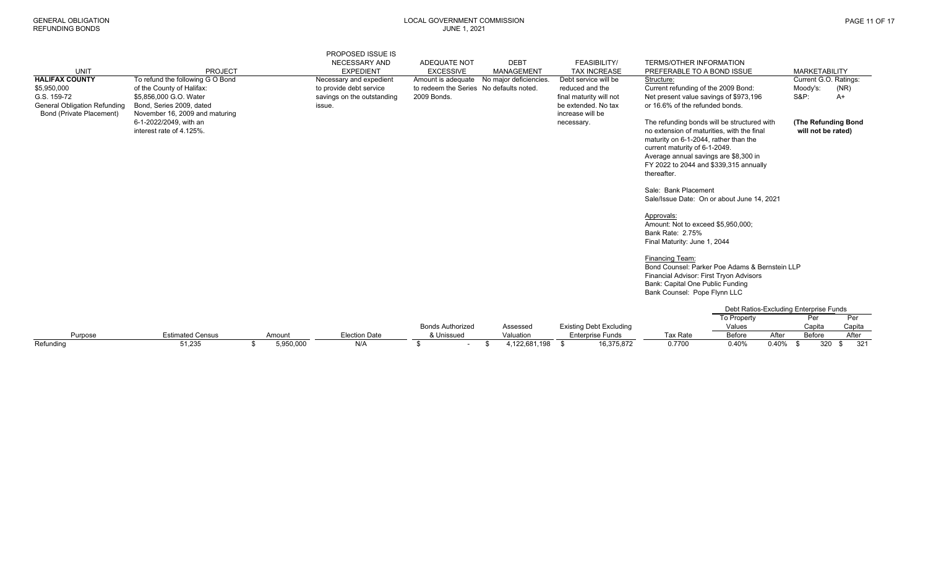| Refundina                           | 51,235                                                   | 5,950,000 | N/A                        | \$<br>$\sim$                            | 4,122,681,198<br>\$                       | 16,375,872<br>\$               | 0.7700                                                                          | 0.40%                                  | 0.40% | 320                   | 321<br>\$ |
|-------------------------------------|----------------------------------------------------------|-----------|----------------------------|-----------------------------------------|-------------------------------------------|--------------------------------|---------------------------------------------------------------------------------|----------------------------------------|-------|-----------------------|-----------|
| Purpose                             | <b>Estimated Census</b>                                  | Amount    | <b>Election Date</b>       | & Unissued                              | Valuation                                 | <b>Enterprise Funds</b>        | <b>Tax Rate</b>                                                                 | Before                                 | After | Before                | After     |
|                                     |                                                          |           |                            | <b>Bonds Authorized</b>                 | Assessed                                  | <b>Existing Debt Excluding</b> |                                                                                 | Values                                 |       | Capita                | Capita    |
|                                     |                                                          |           |                            |                                         |                                           |                                |                                                                                 | To Property                            |       | Per                   | Per       |
|                                     |                                                          |           |                            |                                         |                                           |                                |                                                                                 | Debt Ratios-Excluding Enterprise Funds |       |                       |           |
|                                     |                                                          |           |                            |                                         |                                           |                                |                                                                                 |                                        |       |                       |           |
|                                     |                                                          |           |                            |                                         |                                           |                                | Bank Counsel: Pope Flynn LLC                                                    |                                        |       |                       |           |
|                                     |                                                          |           |                            |                                         |                                           |                                | Bank: Capital One Public Funding                                                |                                        |       |                       |           |
|                                     |                                                          |           |                            |                                         |                                           |                                | Financial Advisor: First Tryon Advisors                                         |                                        |       |                       |           |
|                                     |                                                          |           |                            |                                         |                                           |                                | Bond Counsel: Parker Poe Adams & Bernstein LLP                                  |                                        |       |                       |           |
|                                     |                                                          |           |                            |                                         |                                           |                                | Financing Team:                                                                 |                                        |       |                       |           |
|                                     |                                                          |           |                            |                                         |                                           |                                | Final Maturity: June 1, 2044                                                    |                                        |       |                       |           |
|                                     |                                                          |           |                            |                                         |                                           |                                | <b>Bank Rate: 2.75%</b>                                                         |                                        |       |                       |           |
|                                     |                                                          |           |                            |                                         |                                           |                                | Amount: Not to exceed \$5,950,000;                                              |                                        |       |                       |           |
|                                     |                                                          |           |                            |                                         |                                           |                                | Approvals:                                                                      |                                        |       |                       |           |
|                                     |                                                          |           |                            |                                         |                                           |                                | Sale/Issue Date: On or about June 14, 2021                                      |                                        |       |                       |           |
|                                     |                                                          |           |                            |                                         |                                           |                                | Sale: Bank Placement                                                            |                                        |       |                       |           |
|                                     |                                                          |           |                            |                                         |                                           |                                |                                                                                 |                                        |       |                       |           |
|                                     |                                                          |           |                            |                                         |                                           |                                | thereafter.                                                                     |                                        |       |                       |           |
|                                     |                                                          |           |                            |                                         |                                           |                                | Average annual savings are \$8,300 in<br>FY 2022 to 2044 and \$339,315 annually |                                        |       |                       |           |
|                                     |                                                          |           |                            |                                         |                                           |                                | current maturity of 6-1-2049.                                                   |                                        |       |                       |           |
|                                     |                                                          |           |                            |                                         |                                           |                                | maturity on 6-1-2044, rather than the                                           |                                        |       |                       |           |
|                                     | interest rate of 4.125%.                                 |           |                            |                                         |                                           |                                | no extension of maturities, with the final                                      |                                        |       | will not be rated)    |           |
| Bond (Private Placement)            | November 16, 2009 and maturing<br>6-1-2022/2049, with an |           |                            |                                         |                                           | increase will be<br>necessary. | The refunding bonds will be structured with                                     |                                        |       | (The Refunding Bond   |           |
| <b>General Obligation Refunding</b> | Bond, Series 2009, dated                                 |           | issue.                     |                                         |                                           | be extended. No tax            | or 16.6% of the refunded bonds.                                                 |                                        |       |                       |           |
| G.S. 159-72                         | \$5,856,000 G.O. Water                                   |           | savings on the outstanding | 2009 Bonds.                             |                                           | final maturity will not        | Net present value savings of \$973,196                                          |                                        |       | <b>S&amp;P:</b>       | A+        |
| \$5,950,000                         | of the County of Halifax:                                |           | to provide debt service    | to redeem the Series No defaults noted. |                                           | reduced and the                | Current refunding of the 2009 Bond:                                             |                                        |       | Moody's:              | (NR)      |
| <b>HALIFAX COUNTY</b>               | To refund the following G O Bond                         |           | Necessary and expedient    |                                         | Amount is adequate No major deficiencies. | Debt service will be           | Structure:                                                                      |                                        |       | Current G.O. Ratings: |           |
| <b>UNIT</b>                         | <b>PROJECT</b>                                           |           | <b>EXPEDIENT</b>           | <b>EXCESSIVE</b>                        | <b>MANAGEMENT</b>                         | <b>TAX INCREASE</b>            | PREFERABLE TO A BOND ISSUE                                                      |                                        |       | <b>MARKETABILITY</b>  |           |
|                                     |                                                          |           | NECESSARY AND              | <b>ADEQUATE NOT</b>                     | <b>DEBT</b>                               | <b>FEASIBILITY/</b>            | <b>TERMS/OTHER INFORMATION</b>                                                  |                                        |       |                       |           |
|                                     |                                                          |           | <b>PROPOSED ISSUE IS</b>   |                                         |                                           |                                |                                                                                 |                                        |       |                       |           |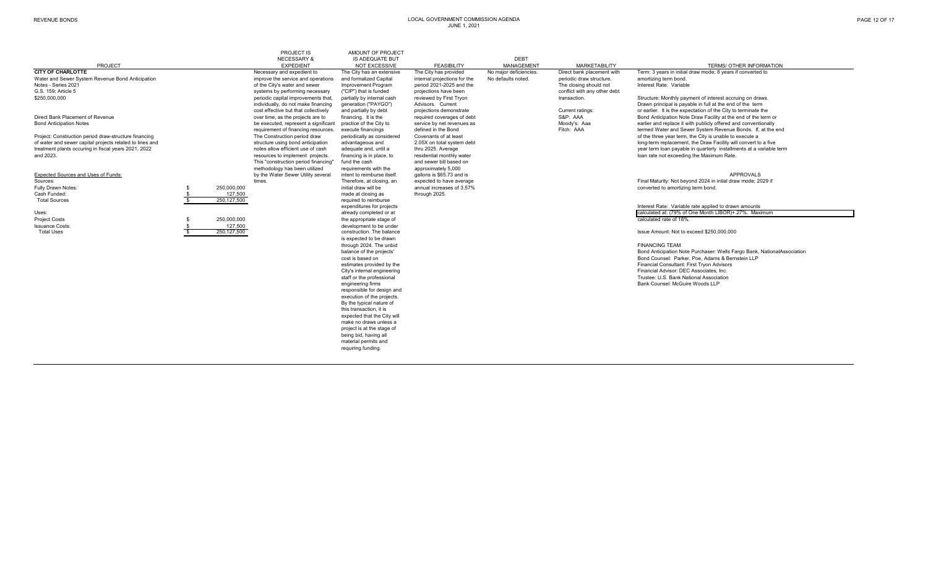|                                                          |             | <b>PROJECT IS</b><br><b>NECESSARY &amp;</b>                                | AMOUNT OF PROJECT<br><b>IS ADEQUATE BUT</b>   |                                                   | <b>DEBT</b>            |                              |                                                                                                                                |
|----------------------------------------------------------|-------------|----------------------------------------------------------------------------|-----------------------------------------------|---------------------------------------------------|------------------------|------------------------------|--------------------------------------------------------------------------------------------------------------------------------|
| PROJECT                                                  |             | <b>EXPEDIENT</b>                                                           | <b>NOT EXCESSIVE</b>                          | <b>FEASIBILITY</b>                                | <b>MANAGEMENT</b>      | <b>MARKETABILITY</b>         | <b>TERMS/ OTHER INFORMATION</b>                                                                                                |
| <b>CITY OF CHARLOTTE</b>                                 |             | Necessary and expedient to                                                 | The City has an extensive                     | The City has provided                             | No major deficiencies. | Direct bank placement with   | Term: 3 years in initial draw mode; 8 years if converted to                                                                    |
| Water and Sewer System Revenue Bond Anticipation         |             | improve the service and operations                                         | and formalized Capital                        | internal projections for the                      | No defaults noted.     | periodic draw structure.     | amortizing term bond.                                                                                                          |
| Notes - Series 2021                                      |             | of the City's water and sewer                                              | Improvement Program                           | period 2021-2025 and the                          |                        | The closing should not       | Interest Rate: Variable                                                                                                        |
| G.S. 159; Article 5                                      |             | systems by performing necessary                                            | ("CIP") that is funded                        | projections have been                             |                        | conflict with any other debt |                                                                                                                                |
| \$250,000,000                                            |             | periodic capital improvements that.                                        | partially by internal cash                    | reviewed by First Tryon                           |                        | transaction.                 | Structure: Monthly payment of interest accruing on draws.                                                                      |
|                                                          |             | individually, do not make financing                                        | generation ("PAYGO")                          | Advisors. Current                                 |                        |                              | Drawn principal is payable in full at the end of the term                                                                      |
| Direct Bank Placement of Revenue                         |             | cost effective but that collectively                                       | and partially by debt                         | projections demonstrate                           |                        | Current ratings:<br>S&P: AAA | or earlier. It is the expectation of the City to terminate the                                                                 |
| <b>Bond Anticipation Notes</b>                           |             | over time, as the projects are to                                          | financing. It is the                          | required coverages of debt                        |                        | Moody's: Aaa                 | Bond Anticipation Note Draw Facility at the end of the term or                                                                 |
|                                                          |             | be executed, represent a significant<br>requirement of financing resources | practice of the City to<br>execute financings | service by net revenues as<br>defined in the Bond |                        | Fitch: AAA                   | earlier and replace it with publicly offered and conventionally<br>termed Water and Sewer System Revenue Bonds. If, at the end |
| Project: Construction period draw-structure financing    |             | The Construction period draw                                               | periodically as considered                    | Covenants of at least                             |                        |                              | of the three year term, the City is unable to execute a                                                                        |
| of water and sewer capital projects related to lines and |             | structure using bond anticipation                                          | advantageous and                              | 2.05X on total system debt                        |                        |                              | long-term replacement, the Draw Facility will convert to a five                                                                |
| treatment plants occuring in fiscal years 2021, 2022     |             | notes allow efficient use of cash                                          | adequate and, until a                         | thru 2025. Average                                |                        |                              | year term loan payable in quarterly installments at a variable term                                                            |
| and 2023.                                                |             | resources to implement projects.                                           | financing is in place, to                     | residential monthly water                         |                        |                              | loan rate not exceeding the Maximum Rate.                                                                                      |
|                                                          |             | This "construction period financing"                                       | fund the cash                                 | and sewer bill based on                           |                        |                              |                                                                                                                                |
|                                                          |             | methodology has been utilized                                              | requirements with the                         | approximately 5,000                               |                        |                              |                                                                                                                                |
| Expected Sources and Uses of Funds:                      |             | by the Water Sewer Utility several                                         | intent to reimburse itself.                   | gallons is \$65.73 and is                         |                        |                              | <b>APPROVALS</b>                                                                                                               |
| Sources:                                                 |             | times.                                                                     | Therefore, at closing, an                     | expected to have average                          |                        |                              | Final Maturity: Not beyond 2024 in intial draw mode; 2029 if                                                                   |
| Fully Drawn Notes:                                       | 250,000,000 |                                                                            | initial draw will be                          | annual increases of 3.57%                         |                        |                              | converted to amortizing term bond.                                                                                             |
| Cash Funded:                                             | 127.500     |                                                                            | made at closing as                            | through 2025.                                     |                        |                              |                                                                                                                                |
| <b>Total Sources</b>                                     | 250,127,500 |                                                                            | required to reimburse                         |                                                   |                        |                              |                                                                                                                                |
|                                                          |             |                                                                            | expenditures for projects                     |                                                   |                        |                              | Interest Rate: Variable rate applied to drawn amounts                                                                          |
| Uses:                                                    |             |                                                                            | already completed or at                       |                                                   |                        |                              | calculated at: (79% of One Month LIBOR)+.27%. Maximum                                                                          |
| <b>Project Costs</b>                                     | 250,000,000 |                                                                            | the appropriate stage of                      |                                                   |                        |                              | calculated rate of 18%.                                                                                                        |
| <b>Issuance Costs:</b>                                   | 127,500     |                                                                            | development to be under                       |                                                   |                        |                              |                                                                                                                                |
| <b>Total Uses</b>                                        | 250,127,500 |                                                                            | construction. The balance                     |                                                   |                        |                              | Issue Amount: Not to exceed \$250,000,000                                                                                      |
|                                                          |             |                                                                            | is expected to be drawn                       |                                                   |                        |                              |                                                                                                                                |
|                                                          |             |                                                                            | through 2024. The unbid                       |                                                   |                        |                              | <b>FINANCING TEAM</b>                                                                                                          |
|                                                          |             |                                                                            | balance of the projects'                      |                                                   |                        |                              | Bond Anticipation Note Purchaser: Wells Fargo Bank, NationalAssociation                                                        |
|                                                          |             |                                                                            | cost is based on<br>estimates provided by the |                                                   |                        |                              | Bond Counsel: Parker, Poe, Adams & Bernstein LLP<br>Financial Consultant: First Tryon Advisors                                 |
|                                                          |             |                                                                            | City's internal engineering                   |                                                   |                        |                              | Financial Advisor: DEC Associates, Inc.                                                                                        |
|                                                          |             |                                                                            | staff or the professional                     |                                                   |                        |                              | Trustee: U.S. Bank National Association                                                                                        |
|                                                          |             |                                                                            | engineering firms                             |                                                   |                        |                              | Bank Counsel: McGuire Woods LLP                                                                                                |
|                                                          |             |                                                                            | responsible for design and                    |                                                   |                        |                              |                                                                                                                                |
|                                                          |             |                                                                            | execution of the projects.                    |                                                   |                        |                              |                                                                                                                                |
|                                                          |             |                                                                            | By the typical nature of                      |                                                   |                        |                              |                                                                                                                                |
|                                                          |             |                                                                            | this transaction, it is                       |                                                   |                        |                              |                                                                                                                                |
|                                                          |             |                                                                            | expected that the City will                   |                                                   |                        |                              |                                                                                                                                |
|                                                          |             |                                                                            | make no draws unless a                        |                                                   |                        |                              |                                                                                                                                |
|                                                          |             |                                                                            | project is at the stage of                    |                                                   |                        |                              |                                                                                                                                |
|                                                          |             |                                                                            | being bid, having all                         |                                                   |                        |                              |                                                                                                                                |
|                                                          |             |                                                                            | material permits and                          |                                                   |                        |                              |                                                                                                                                |
|                                                          |             |                                                                            | requiring funding.                            |                                                   |                        |                              |                                                                                                                                |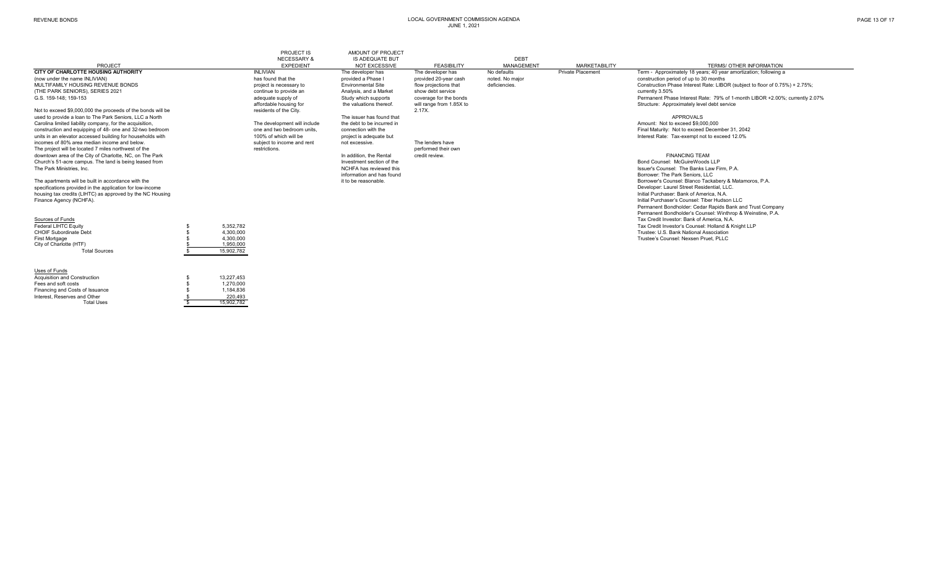Total Uses  $\frac{1}{3}$  15,902,782

|                                                             |            | PROJECT IS                                 | AMOUNT OF PROJECT                              |                          |                                  |                          |                                                                              |
|-------------------------------------------------------------|------------|--------------------------------------------|------------------------------------------------|--------------------------|----------------------------------|--------------------------|------------------------------------------------------------------------------|
| PROJECT                                                     |            | <b>NECESSARY &amp;</b><br><b>EXPEDIENT</b> | <b>IS ADEQUATE BUT</b><br><b>NOT EXCESSIVE</b> | <b>FEASIBILITY</b>       | <b>DEBT</b><br><b>MANAGEMENT</b> | <b>MARKETABILITY</b>     | TERMS/ OTHER INFORMATION                                                     |
| <b>CITY OF CHARLOTTE HOUSING AUTHORITY</b>                  |            | <b>INLIVIAN</b>                            | The developer has                              | The developer has        | No defaults                      | <b>Private Placement</b> | Term - Approximately 18 years; 40 year amortization; following a             |
| (now under the name INLIVIAN)                               |            | has found that the                         | provided a Phase I                             | provided 20-vear cash    | noted. No maior                  |                          | construction period of up to 30 months                                       |
| MULTIFAMILY HOUSING REVENUE BONDS                           |            | project is necessary to                    | <b>Environmental Site</b>                      | flow projections that    | deficiencies.                    |                          | Construction Phase Interest Rate: LIBOR (subject to floor of 0.75%) + 2.75%; |
| (THE PARK SENIORS), SERIES 2021                             |            | continue to provide an                     | Analysis, and a Market                         | show debt service        |                                  |                          | currently 3.50%                                                              |
| G.S. 159-148: 159-153                                       |            | adequate supply of                         | Study which supports                           | coverage for the bonds   |                                  |                          | Permanent Phase Interest Rate: 79% of 1-month LIBOR +2.00%; currently 2.07%  |
|                                                             |            | affordable housing for                     | the valuations thereof.                        | will range from 1.85X to |                                  |                          | Structure: Approximately level debt service                                  |
| Not to exceed \$9,000,000 the proceeds of the bonds will be |            | residents of the City.                     |                                                | 2.17X.                   |                                  |                          |                                                                              |
| used to provide a loan to The Park Seniors, LLC a North     |            |                                            | The issuer has found that                      |                          |                                  |                          | <b>APPROVALS</b>                                                             |
| Carolina limited liability company, for the acquisition,    |            | The development will include               | the debt to be incurred in                     |                          |                                  |                          | Amount: Not to exceed \$9,000,000                                            |
| construction and equipping of 48- one and 32-two bedroom    |            | one and two bedroom units.                 | connection with the                            |                          |                                  |                          | Final Maturity: Not to exceed December 31, 2042                              |
| units in an elevator accessed building for households with  |            | 100% of which will be                      | project is adequate but                        |                          |                                  |                          | Interest Rate: Tax-exempt not to exceed 12.0%                                |
| incomes of 80% area median income and below.                |            | subject to income and rent                 | not excessive.                                 | The lenders have         |                                  |                          |                                                                              |
| The project will be located 7 miles northwest of the        |            | restrictions.                              |                                                | performed their own      |                                  |                          |                                                                              |
| downtown area of the City of Charlotte, NC, on The Park     |            |                                            | In addition, the Rental                        | credit review.           |                                  |                          | <b>FINANCING TEAM</b>                                                        |
| Church's 51-acre campus. The land is being leased from      |            |                                            | Investment section of the                      |                          |                                  |                          | Bond Counsel: McGuireWoods LLP                                               |
| The Park Ministries, Inc.                                   |            |                                            | NCHFA has reviewed this                        |                          |                                  |                          | Issuer's Counsel: The Banks Law Firm, P.A.                                   |
|                                                             |            |                                            | information and has found                      |                          |                                  |                          | Borrower: The Park Seniors, LLC                                              |
| The apartments will be built in accordance with the         |            |                                            | it to be reasonable.                           |                          |                                  |                          | Borrower's Counsel: Blanco Tackabery & Matamoros, P.A.                       |
| specifications provided in the application for low-income   |            |                                            |                                                |                          |                                  |                          | Developer: Laurel Street Residential, LLC.                                   |
| housing tax credits (LIHTC) as approved by the NC Housing   |            |                                            |                                                |                          |                                  |                          | Initial Purchaser: Bank of America, N.A.                                     |
| Finance Agency (NCHFA).                                     |            |                                            |                                                |                          |                                  |                          | Initial Purchaser's Counsel: Tiber Hudson LLC                                |
|                                                             |            |                                            |                                                |                          |                                  |                          | Permanent Bondholder: Cedar Rapids Bank and Trust Company                    |
|                                                             |            |                                            |                                                |                          |                                  |                          | Permanent Bondholder's Counsel: Winthrop & Weinstine, P.A.                   |
| Sources of Funds                                            |            |                                            |                                                |                          |                                  |                          | Tax Credit Investor: Bank of America, N.A.                                   |
| <b>Federal LIHTC Equity</b>                                 | 5,352,782  |                                            |                                                |                          |                                  |                          | Tax Credit Investor's Counsel: Holland & Knight LLP                          |
| <b>CHOIF Subordinate Debt</b>                               | 4,300,000  |                                            |                                                |                          |                                  |                          | Trustee: U.S. Bank National Association                                      |
| First Mortgage                                              | 4,300,000  |                                            |                                                |                          |                                  |                          | Trustee's Counsel: Nexsen Pruet, PLLC                                        |
| City of Charlotte (HTF)                                     | 1,950,000  |                                            |                                                |                          |                                  |                          |                                                                              |
| <b>Total Sources</b>                                        | 15,902,782 |                                            |                                                |                          |                                  |                          |                                                                              |
| Uses of Funds                                               |            |                                            |                                                |                          |                                  |                          |                                                                              |
| Acquisition and Construction                                | 13.227.453 |                                            |                                                |                          |                                  |                          |                                                                              |
| Fees and soft costs                                         | 1,270,000  |                                            |                                                |                          |                                  |                          |                                                                              |
| Financing and Costs of Issuance                             | 1,184,836  |                                            |                                                |                          |                                  |                          |                                                                              |
| Interest. Reserves and Other                                | 220.493    |                                            |                                                |                          |                                  |                          |                                                                              |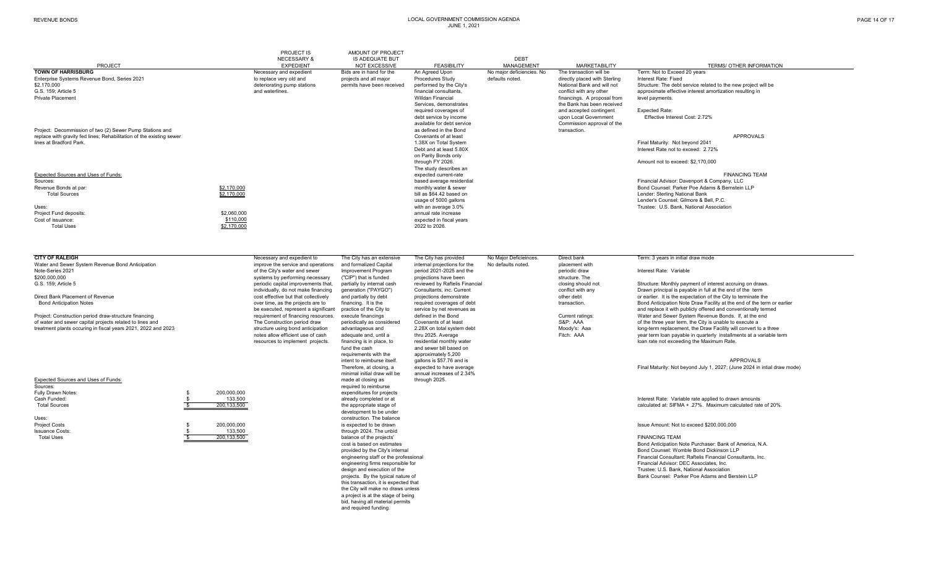| PAGE 14 OF 17 |  |
|---------------|--|
|---------------|--|

#### PROJECT IS AMOUNT OF PROJECT NECESSARY & IS ADEQUATE BUT **Example 2018** DEBT **MANAGEMENT** PROJECT EXPEDIENT MOT EXCESSIVE FEASIBILITY MANAGEMENT MARKETABILITY TERMS/ OTHER INFORMATION<br>Necessary and expedient Bids are in hand for the An Agreed Upon No major deficiencies. No The transaction will be Term: Not to E **TOWN OF HARRISBURGG** Necessary and expedient Bids are in hand for the An Agreed Upon No major deficiencies. No The transaction will be Term: Not to Exceed 20 years Enterprise Systems Revenue Bond, Series 2021 **Enterprise Systems Revenue Systems** Accepted and the projects and all major and provided performed by the City's defaults noted. And with Sterling Interest Rate: Fixed and all \$2,170,000 \$2,170,000 deteriorating pump stations permits have been received performed by the City's National Bank and will not Structure: The debt service related to the new project will be approximate effective interest and waterlines. 
and waterlines.<br>
Willdan Financial Consultants, Conflict with any other approximate effective interest amortization resulting in<br>
Willdan Financial Consultant Consultant Consultant Conflict with any other Private Placementt financial financial financial financial financial financial financings. A proposal from level payments. Services, demonstrates the Bank has been received required coverages of **and accepted contingent** Expected Rate:<br>
debt service by income **and accepted Covernment** Effective Inte Effective Interest Cost: 2.72% available for debt service<br>
as defined in the Bond<br>
as defined in the Bond<br>
Service Commission approval of the<br>
Service Commission approval of the<br>
Service Commission approval of the Project: Decommission of two (2) Sewer Pump Stations and and the action of the existing sewer and as defined in the Bond transaction of the existing sewer and as defined in the Bond transaction of the existing sewer and tr replace with gravity fed lines; Rehabilitation of the existing sewer **APPROVALS**<br>The at Bradford Park. **All and Server All and Server All and Server All and Server All and Server All and Server A**<br>The at Bradford Park. Not lines at Bradford Park.Final Maturity: Not beyond 2041 Debt and at least 5.80X Interest Rate not to exceed: 2.72%on Parity Bonds only<br>through FY 2026. Amount not to exceed: \$2,170,000 The study describes an<br>expected current-rate expected current-rate expected current-rate expected current-rate expected current-rate expected current-rate FINANCING TEAM<br>The Sources: Financial Advisor: Davenport & Company. LLC Sources:Exercise average residential and the material parameters of the material Financial Advisor: Davenport & Company, LLC<br>Bevenue Bonds at par: The Adams & Bernstein Inc. And St. 170,000 the Second St. 2014 of the monthly water enue Bonds at par: states and counsel: Parker Poe Adams & Bernstein LLP<br>Total Sources and Counsel: Parker Poe Adams & Bernstein LLP<br>Total Sources Bond Counsel: Parker Poe Adams & Bernstein LLP<br>Total Sources and Counsel: Pa Total Sources \$2,170,000 bill as \$64.42 based on Lender: Sterling National Bank usage of 5000 gallons and the counsel: Gilmore & Bell, P.C.<br>Mith an average 3.0% and the counsel of the counsel of the counsel: U.S. Bank, National Associational of the c Uses:with an average 3.0% with an average 3.0% with an average 3.0% annual rate increase services are a multiple to the service of the service of the service of the service of the service of the service of the service annual ra Project Fund deposits: \$2,060,000 annual rate increase Cost of issuance: $$110,000$ <br>  $$2170,000$ <br>  $$2,170,000$ <br>  $$2022 to 2028$  Total Uses \$2,170,000 2022 to 2026. **CITY OF RALEIGH**H Sharp Decessary and expedient to The City has an extensive The City has provided No Major Deficieinces. Direct bank Term: 3 years in initial draw mode Water and Sewer System Revenue Bond Anticipation improve the service and operations and formalized Capital internal projections for the No defaults noted. placement with Note-Series 2021<br>Note-Series 2021 1992 of the City's Note-Series 2021 of the City's water and sewer Improvement Program period 2021-2025 and the periodic draw Interest Rate: Variable %200,000,000 systems by performing necessary ("CIP") that is funded projections have been structure. The structure. The structure. The structure. The periodic capital improvements that partially by internal cash reviewed b Deriodic capital improvements that, partially by internal cash reviewed by Raftelis Financial closing should not Structure: Monthly payment of interest accruing on draws.<br>
individually, do not make financing generation ("P individually, do not make financing generation ("PAYGO") Consultants, inc. Current conflict with any conflict with any Drawn principal is payable in full at the end of the term<br>
cost effective but that collectively and par Direct Bank Placement of Revenue cost effective but that collectively and partially by debt projections demonstrate over the chest of the City to terminate the cost effective but that collectively and partially by debt pro Bond Anticipation Note Draw Facility at the end of the term or earlier be executed, represent a significant practice of the City to service by net revenues as and the Bond conventionally termed requirement of financing resources. execute financings defined in the Bond of the City to service b Project: Construction period draw-structure financing execute the construction periodical requirement of financing resources. execute financings defined in the Bond Covenants of at least Current ratings: Water and Sewer Sy

of water and sewer capital projects related to lines and S&P: AAA The Construction period draw periodically as considered Covenants of at least S&P: AAA SAP: ABA of the three term, the three term, the construction periodic

| Expected Sources and Uses of Funds: |             | made at closing as<br>through 2025. |                            |
|-------------------------------------|-------------|-------------------------------------|----------------------------|
| Sources:                            |             | required to reimburse               |                            |
| Fully Drawn Notes:                  | 200,000,000 | expenditures for projects           |                            |
| Cash Funded:                        | 133,500     | already completed or at             | Interest Rate: Vari        |
| <b>Total Sources</b>                | 200,133,500 | the appropriate stage of            | calculated at: SIFM        |
|                                     |             | development to be under             |                            |
| Uses:                               |             | construction. The balance           |                            |
| <b>Project Costs</b>                | 200.000.000 | is expected to be drawn             | Issue Amount: Not          |
| <b>Issuance Costs:</b>              | 133.500     | through 2024. The unbid             |                            |
| <b>Total Uses</b>                   | 200,133,500 | balance of the projects'            | <b>FINANCING TEAM</b>      |
|                                     |             | cost is based on estimates          | <b>Bond Anticipation I</b> |

financing is in place, to residential monthly water the state of exceeding the Maximum Rate.<br>
fund the cash and sewer bill based on requirements with the approximately 5,200<br>intent to reimburse itself. allons is \$57.76 and minimal initial draw will beFully dependitures for projects<br>already completed or at<br>the appropriate stage of development to be under construction. The balanceexpected to be drawn is expected to be drawn in the determinant of the determinant issue Amount: Not to exceed \$200,000,000  $\mu$  issue Amount: Not to exceed \$200,000,000 Issuance Costs: 133,500 \$ through 2024. The unbid<br>Indiance of the projects' cost is based on estimatesthis transaction, it is expected that the City will make no draws unless a project is at the stage of being bid, having all material permits and required funding.

and sewer bill based on annual increases of 2.34%

tructure using bond anticipation advantageous and 2.28X on total system debt Moody's: Aaa long-term replacement, the Draw Facility will convert to a three<br>
notes allow efficient use of cash adequate and, until a thru 2025. notes allow efficient use of cash adequate and, until a thru 2025. Average the state of cash adequate and, until a thru 2025. Average Fitch: AAA Fitch: AAA year term loan payable in quarterly installments at a variable ter

> intent to reimburse itself. gallons is \$57.76 and is and is a controlled by the state of the state of the state<br>Therefore, at closing, a state of the state of the state of the state of the state of the state of the state o Final Maturity: Not beyond July 1, 2027; (June 2024 in intial draw mode)

already completed or at **Interest Rate:** Variable rate applied to drawn amounts<br>
The appropriate stage of **EXELO ALTERATE:** The appropriate stage of the appropriate stage of Total Sources 200,133,500 \$ the appropriate stage of calculated at: SIFMA + .27%. Maximum calculated rate of 20%.

 Bond Anticipation Note Purchaser: Bank of America, N.A. provided by the City's internal the professional consel: Womble Bond Counsel: Womble Bond Dickinson LLP<br>Bond Counsel: Womble Bond Dickinson LLP<br>Financial Consultant: Raftelis Financial Consu engineering staff or the professional increases and the professional Financial Consultant: Raftelis Financial Consultants, Inc.<br>Financial Advisor: DEC Associates. Inc. engineering firms responsible for<br>design and execution of the form of the Financial Advisor: DEC Associates, Inc.<br>Trustee: U.S. Bank, National Association design and execution of the Trustee: U.S. Bank, National Association<br>Droiects. By the typical nature of the Trustee: U.S. Bank Counsel: Parker Poe Adams and B Bank Counsel: Parker Poe Adams and Berstein LLP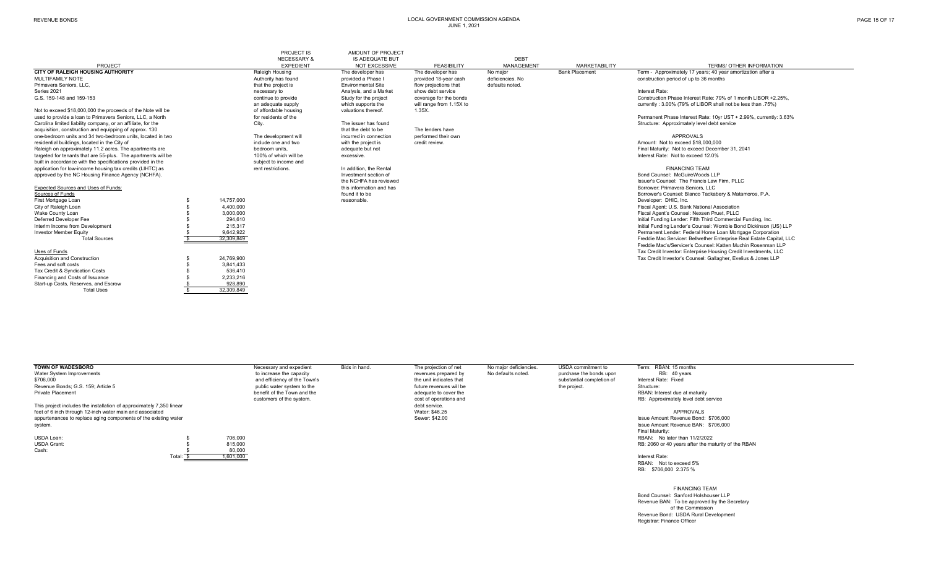| PAGE 15 OF 17 |  |  |  |  |
|---------------|--|--|--|--|
|---------------|--|--|--|--|

#### PROJECT IS AMOUNT OF PROJECT<br>NECESSARY & IS ADEQUATE BUT IS ADEQUATE BUT **DEBT** MANAGEMENT PROJECT PROJECT EXPEDIENT EXPEDIENT NOT EXCESSIVE FEASIBILITY MANAGEMENT MANAGEMENT MARKETABILITY TERMS/ OTHER INFORMATION<br>CITY OF RALEIGH HOUSING AUTHORITY TERMS/ OTHER INFORMATION Raleigh Housing The developer has The de **COM CITY CITY CITY CITY The developer has** The developer has No major **CITY AUTHORITY CITY CITY TERM - Approximately 17 years; 40 year amortization after a**<br>Authority has found provided a Phase I provided 18-year cash def MULTIFAMILY NOTEMULTIFAMILY NOTE MULTIFAMILY NOTE SAULTIFAMILY NOTE SAULTIFAMILY NOTE SAULTIFAMILY NOTE SAULTIFAMILY NOTE SAULTIFAMILY NOTE SAULTIFAMILY NOTE SAULTIFAMILY NOTE SAULTIFAMILY NOTE SAULTIFAMILY NOTE SAULTIFAMILY NOTE SAULTIFA Primavera Seniors, LLC, that the project is that the project is Environmental Site flow projections that defaults noted. Series 2021 necessary to Analysis, and a Market show debt service Interest Rate: G.S. 159-148 and 159-153 continue to provide continue to provide Study for the project coverage for the bonds Construction Phase Interest Rate: 79% of 1 month LIBOR +2.25%, an adequate supply which supports the will range from 1.15X to currently : 3.00% (79% of LIBOR shall not be less than .75%)<br>of affordable housing valuations thereof. 1.35X. Not to exceed \$18,000,000 the proceeds of the Note will be of affordable housing value of affordable housing value of affordable housing value of a the value of a financera Seniors. LLC. a North Permanent Phase Interest Rate: 10yr UST + 2.99%, currently: 3.63%<br>The issuer has found a loan to provident a loan to the Permanent Phase Interest Rate: 10yr UST + 2.99%, currently: 3.63% Carolina limited liability company, or an affiliate, for the City. City. City. City. The issuer has found Structure: Approximately level debt to be acquisition, construction and equipping of approx. 130 acquisition, construction and equipping of approx. 130 that the debt to be The lenders have<br>acquisition, construction and 34 two-bedroom units, located in two section one-bedroom units and 34 two-bedroom units, located in one-bedroom units and 34 two-bedroom units, located in two measure the development will incurred in connection performed their own and two the state of the development will incurred in connection performed their own APPROV residential buildings, located in the City of include one and two with the project is credit review.<br>
The proposition of the City of the City of the Amount: Not to exceed and two adequate but not adequate but not<br>
Amount: Raleigh on approximately 11.2 acres. The apartments are exceed the security: Not to exceed December 100% of which will be a reduce but not exceesive.<br>
Angeled for tenants that are 55-plus. The apartments will be the sconti targeted for tenants that are 55-plus. The apartments will be 100% of which will be built in accordance with the specifications provided in the 100% of which will be built in accordance with the specifications provided in built in accordance with the specifications provided in the subject to income and income and subject to income and subject to income and subject to income and subject to income and  $\frac{1}{2}$  as application for low-income housing tax credits (LIHTC) as **rent restrictions.** The addition, the Rental FINANCING TEAM FINANCING TEAM FINANCING TEAM FINANCING TEAM FINANCING TEAM FINANCING TEAM FINANCING TEAM FINANCING TEA approved by the NC Housing Finance Agency (NCHFA). the NCHFA has reviewed Issuer's Counsel: The Francis Law Firm, PLLC Expected Sources and Uses of Funds: Sources of Funds found it to be Borrower's Counsel: Blanco Tackabery & Matamoros, P.A. First Mortgage Loan 14,757,000 \$ reasonable. Developer: DHIC, Inc. First Mortgage Loan والتي التجارية والتي يتم المستحدث المستحدث والمستحدث المستحدث والمستحدث المستحدث المستحدث والمستحدث المستحدث والمستحدث المستحدث والمستحدث المستحدث والمستحدث المستحدث والمستحدث المستحدث المستحدث المستحد Wake County Loan 3,000,000 \$ Fiscal Agent's Counsel: Nexsen Pruet, PLLC Deferred Developer Fee 2006 2009 294,610 294,610<br>
215.317 215.317 215.317 215.317 215.317 215.317 215.317 215.317 215.317 215.317 215.317 215.317 215.317 215.31 Interim Income from Development 215,317 215,317 215,317 215,317 215,317 215,317 215,317 215,317 215,317 215,317 215,317 215,317 215,317 215,317 215,317 215,317 215,317 215,317 215,317 215,317 215,317 215,317 215,317 215,31 of the manner of the term of the state of the state of the state of the state of the state of the state of the state of the state of the state Corporation. Total Sources the Mac Servicer: Bellwether Enterprise Real Estate Freddie Mac Servicer: Bellwether Enterprise Real Estate Capital, LLC Freddie Mac's/Servicer's Counsel: Katten Muchin Rosenman LLP Tax Credit Investor: Enterprise Housing Credit Investments, LLC Uses of Funds<br>Acquisition and Construction Acquisition and Construction 24,769,900 \$ Tax Credit Investor's Counsel: Gallagher, Evelius & Jones LLP Fees and soft costs<br>
Tax Credit & Syndication Costs<br>
3 536.410 Tax Credit & Syndication Costs 636,410<br>
Financing and Costs of Issuance 636,410<br>
S
32.233.216 Financing and Costs of Issuance 2,233,216<br>Start-up Costs Reserves and Escrow 2,233,216 Start-up Costs, Reserves, and Escrow 5 5 5 928,890<br>Total Uses 5 928,849 7 32.309.849 Total Uses 32,309,849 \$

| <b>TOWN OF WADESBORO</b>                                             |        |           | Necessary and expedient      | Bids in hand. | The projection of net   | No major deficiencies. | USDA commitment to        | Term: RBAN: 15 months                               |
|----------------------------------------------------------------------|--------|-----------|------------------------------|---------------|-------------------------|------------------------|---------------------------|-----------------------------------------------------|
| Water System Improvements                                            |        |           | to increase the capacity     |               | revenues prepared by    | No defaults noted.     | purchase the bonds upon   | RB: 40 years                                        |
| \$706,000                                                            |        |           | and efficiency of the Town's |               | the unit indicates that |                        | substantial completion of | Interest Rate: Fixed                                |
| Revenue Bonds: G.S. 159: Article 5                                   |        |           | public water system to the   |               | future revenues will be |                        | the project.              | Structure:                                          |
| <b>Private Placement</b>                                             |        |           | benefit of the Town and the  |               | adequate to cover the   |                        |                           | RBAN: Interest due at maturity                      |
|                                                                      |        |           | customers of the system.     |               | cost of operations and  |                        |                           | RB: Approximately level debt service                |
| This project includes the installation of approximately 7,350 linear |        |           |                              |               | debt service.           |                        |                           |                                                     |
| feet of 6 inch through 12-inch water main and associated             |        |           |                              |               | Water: \$46.25          |                        |                           | APPROVALS                                           |
| appurtenances to replace aging components of the existing water      |        |           |                              |               | Sewer: \$42.00          |                        |                           | Issue Amount Revenue Bond: \$706,000                |
| system.                                                              |        |           |                              |               |                         |                        |                           | Issue Amount Revenue BAN: \$706,000                 |
|                                                                      |        |           |                              |               |                         |                        |                           | Final Maturity:                                     |
| USDA Loan:                                                           |        | 706.000   |                              |               |                         |                        |                           | RBAN: No later than 11/2/2022                       |
| <b>USDA Grant:</b>                                                   |        | 815.000   |                              |               |                         |                        |                           | RB: 2060 or 40 years after the maturity of the RBAN |
| Cash:                                                                |        | 80,000    |                              |               |                         |                        |                           |                                                     |
|                                                                      | Total: | 1,601,000 |                              |               |                         |                        |                           | Interest Rate:                                      |
|                                                                      |        |           |                              |               |                         |                        |                           | RRAN: Not to exceed 5%                              |

 FINANCING TEAM Bond Counsel: Sanford Holshouser LLP Revenue BAN: To be approved by the Secretary of the Commission Revenue Bond: USDA Rural Development Registrar: Finance Officer

RB: \$706,000 2.375 %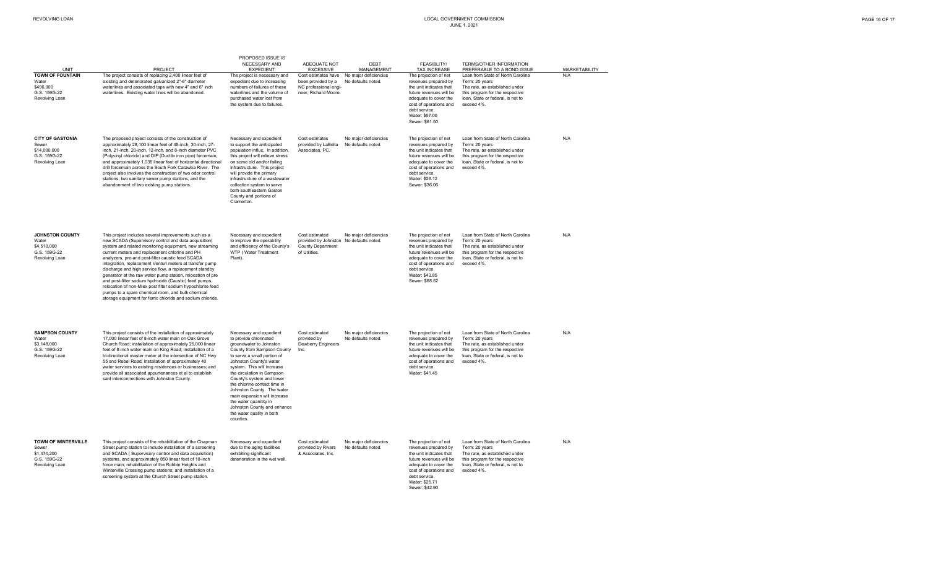|                                                                                    |                                                                                                                                                                                                                                                                                                                                                                                                                                                                                                                                                                                                                                                                                                               | PROPOSED ISSUE IS                                                                                                                                                                                                                                                                                                                                                                                                                                              |                                                                                                        |                                             |                                                                                                                                                                                                             |                                                                                                                                                                             |                      |
|------------------------------------------------------------------------------------|---------------------------------------------------------------------------------------------------------------------------------------------------------------------------------------------------------------------------------------------------------------------------------------------------------------------------------------------------------------------------------------------------------------------------------------------------------------------------------------------------------------------------------------------------------------------------------------------------------------------------------------------------------------------------------------------------------------|----------------------------------------------------------------------------------------------------------------------------------------------------------------------------------------------------------------------------------------------------------------------------------------------------------------------------------------------------------------------------------------------------------------------------------------------------------------|--------------------------------------------------------------------------------------------------------|---------------------------------------------|-------------------------------------------------------------------------------------------------------------------------------------------------------------------------------------------------------------|-----------------------------------------------------------------------------------------------------------------------------------------------------------------------------|----------------------|
| UNIT                                                                               | PROJECT                                                                                                                                                                                                                                                                                                                                                                                                                                                                                                                                                                                                                                                                                                       | NECESSARY AND<br><b>EXPEDIENT</b>                                                                                                                                                                                                                                                                                                                                                                                                                              | ADEQUATE NOT<br><b>EXCESSIVE</b>                                                                       | <b>DEBT</b><br><b>MANAGEMENT</b>            | <b>FEASIBLITY/</b><br><b>TAX INCREASE</b>                                                                                                                                                                   | <b>TERMS/OTHER INFORMATION</b><br>PREFERABLE TO A BOND ISSUE                                                                                                                | <b>MARKETABILITY</b> |
| <b>TOWN OF FOUNTAIN</b><br>Water<br>\$496,000<br>G.S. 159G-22<br>Revolving Loan    | The project consists of replacing 2,400 linear feet of<br>existing and deteriorated galvanized 2"-6" diameter<br>waterlines and associated taps with new 4" and 6" inch<br>waterlines. Existing water lines will be abandoned.                                                                                                                                                                                                                                                                                                                                                                                                                                                                                | The project is necessary and<br>expedient due to increasing<br>numbers of failures of these<br>waterlines and the volume of<br>purchased water lost from<br>the system due to failures.                                                                                                                                                                                                                                                                        | Cost estimates have<br>been provided by a<br>NC professional engi-<br>neer, Richard Moore.             | No maior deficiencies<br>No defaults noted. | The projection of net<br>revenues prepared by<br>the unit indicates that<br>future revenues will be<br>adequate to cover the<br>cost of operations and<br>debt service.<br>Water: \$57.00<br>Sewer: \$61.50 | Loan from State of North Carolina<br>Term: 20 years<br>The rate, as established under<br>this program for the respective<br>loan, State or federal, is not to<br>exceed 4%. | N/A                  |
| <b>CITY OF GASTONIA</b><br>Sewer<br>\$14,000,000<br>G.S. 159G-22<br>Revolving Loan | The proposed project consists of the construction of<br>approximately 28,100 linear feet of 48-inch, 30-inch, 27-<br>inch, 21-inch, 20-inch, 12-inch, and 8-inch diameter PVC<br>(Polyvinyl chloride) and DIP (Ductile iron pipe) forcemain,<br>and approximately 1,035 linear feet of horizontal directional<br>drill forcemain across the South Fork Catawba River. The<br>project also involves the construction of two odor control<br>stations, two sanitary sewer pump stations, and the<br>abandonment of two existing pump stations.                                                                                                                                                                  | Necessary and expedient<br>to support the aniticipated<br>population influx. In addition,<br>this project will relieve stress<br>on some old and/or failing<br>infrastructure. This project<br>will provide the primary<br>infrastructure of a wastewater<br>collection system to serve<br>both southeastern Gaston<br>County and portions of<br>Cramerton.                                                                                                    | Cost estimates<br>provided by LaBella<br>Associates, PC.                                               | No major deficiencies<br>No defaults noted. | The projection of net<br>revenues prepared by<br>the unit indicates that<br>future revenues will be<br>adequate to cover the<br>cost of operations and<br>debt service.<br>Water: \$26.12<br>Sewer: \$36.06 | Loan from State of North Carolina<br>Term: 20 years<br>The rate, as established under<br>this program for the respective<br>loan, State or federal, is not to<br>exceed 4%. | N/A                  |
| <b>JOHNSTON COUNTY</b><br>Water<br>\$4,510,000<br>G.S. 159G-22<br>Revolving Loan   | This project includes several improvements such as a<br>new SCADA (Supervisory control and data acquisition)<br>system and related monitoring equipment, new streaming<br>current meters and replacement chlorine and PH<br>analyzers, pre-and post-filter caustic feed SCADA<br>integration, replacement Venturi meters at transfer pump<br>discharge and high service flow, a replacement standby<br>generator at the raw water pump station, relocation of pre<br>and post-filter sodium hydroxide (Caustic) feed pumps,<br>relocation of non-Miex post filter sodium hypochlorite feed<br>pumps to a spare chemical room, and bulk chemical<br>storage equipment for ferric chloride and sodium chloride. | Necessary and expedient<br>to improve the operability<br>and efficiency of the County's<br>WTP (Water Treatment<br>Plant).                                                                                                                                                                                                                                                                                                                                     | Cost estimated<br>provided by Johnston No defaults noted.<br><b>County Department</b><br>of Utilities. | No major deficiencies                       | The projection of net<br>revenues prepared by<br>the unit indicates that<br>future revenues will be<br>adequate to cover the<br>cost of operations and<br>debt service.<br>Water: \$43.85<br>Sewer: \$68.52 | Loan from State of North Carolina<br>Term: 20 years<br>The rate, as established under<br>this program for the respective<br>loan, State or federal, is not to<br>exceed 4%. | N/A                  |
| <b>SAMPSON COUNTY</b><br>Water<br>\$3,148,000<br>G.S. 159G-22<br>Revolving Loan    | This project consists of the installation of approximately<br>17,000 linear feet of 8-inch water main on Oak Grove<br>Church Road; installation of approximately 25,000 linear<br>feet of 8-inch water main on King Road; installation of a<br>bi-directional master meter at the intersection of NC Hwy<br>55 snd Rebel Road; installation of approximately 40<br>water services to existing residences or businesses; and<br>provide all associated appurtenances et al to establish<br>said interconnections with Johnston County.                                                                                                                                                                         | Necessary and expedient<br>to provide chlorinated<br>groundwater to Johnston<br>County from Sampson County<br>to serve a small portion of<br>Johnston County's water<br>system. This will increase<br>the circulation in Sampson<br>County's system and lower<br>the chlorine contact time in<br>Johnston County. The water<br>main expansion will increase<br>the water quanitity in<br>Johnston County and enhance<br>the water quality in both<br>counties. | Cost estimated<br>provided by<br>Dewberry Engineers<br>Inc.                                            | No major deficiencies<br>No defaults noted. | The projection of net<br>revenues prepared by<br>the unit indicates that<br>future revenues will be<br>adequate to cover the<br>cost of operations and<br>debt service.<br>Water: \$41.45                   | Loan from State of North Carolina<br>Term: 20 years<br>The rate, as established under<br>this program for the respective<br>loan, State or federal, is not to<br>exceed 4%. | N/A                  |
| TOWN OF WINTERVILLE<br>Sewer<br>\$1,474,200<br>G.S. 159G-22<br>Revolving Loan      | This project consists of the rehabilitation of the Chapman<br>Street pump station to include installation of a screening<br>and SCADA (Supervisory control and data acquisition)<br>systems, and approximately 850 linear feet of 10-inch<br>force main; rehabilitation of the Robbin Heights and<br>Winterville Crossing pump stations; and installation of a<br>screening system at the Church Street pump station.                                                                                                                                                                                                                                                                                         | Necessary and expedient<br>due to the aging facilities<br>exhibiting significant<br>deterioration in the wet well.                                                                                                                                                                                                                                                                                                                                             | Cost estimated<br>provided by Rivers<br>& Associates, Inc.                                             | No major deficiencies<br>No defaults noted. | The projection of net<br>revenues prepared by<br>the unit indicates that<br>future revenues will be<br>adequate to cover the<br>cost of operations and<br>debt service.<br>Water: \$25.71<br>Sewer: \$42.90 | Loan from State of North Carolina<br>Term: 20 years<br>The rate, as established under<br>this program for the respective<br>loan, State or federal, is not to<br>exceed 4%. | N/A                  |